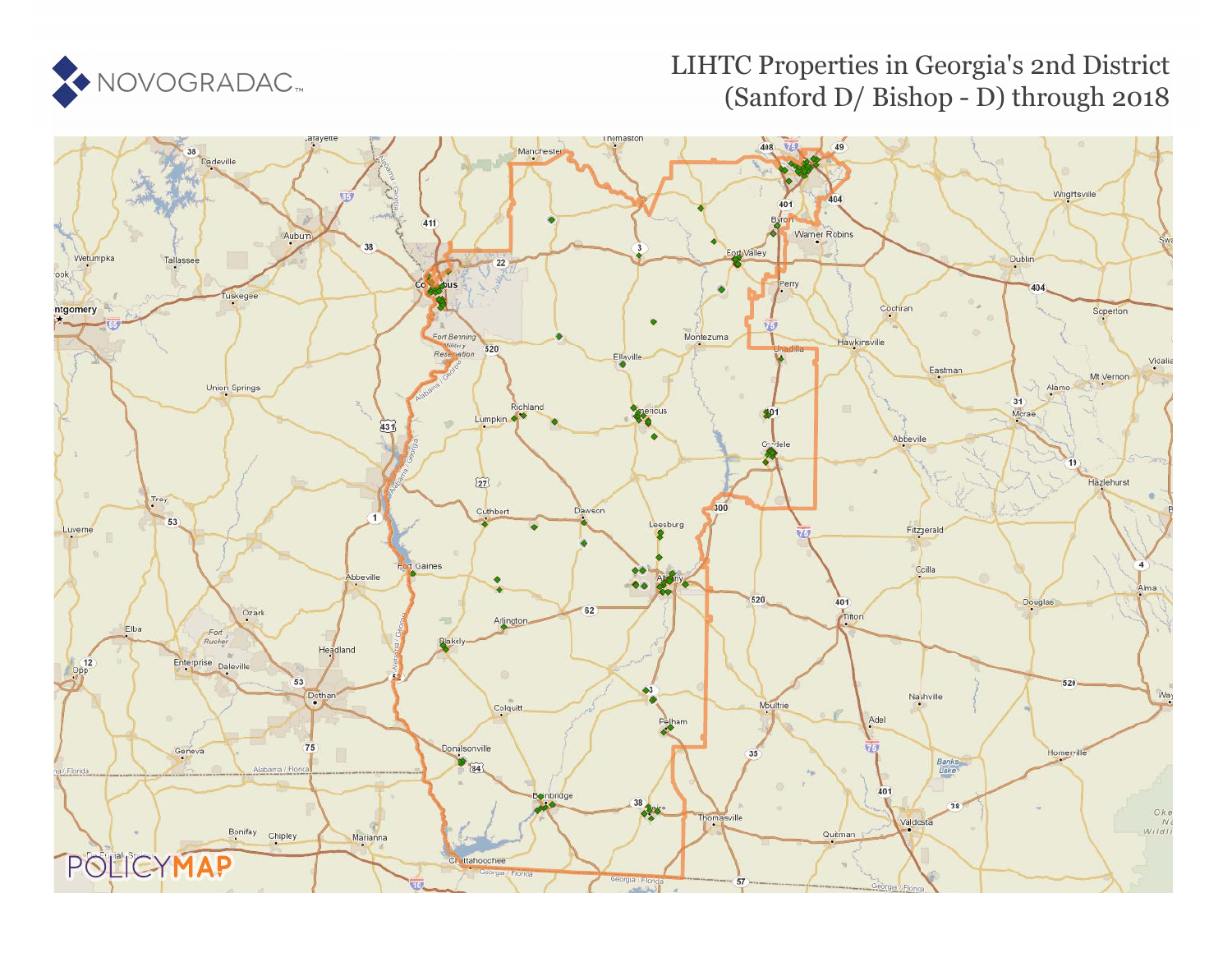

# LIHTC Properties in Georgia's 2nd District (Sanford D/ Bishop - D) through 2018

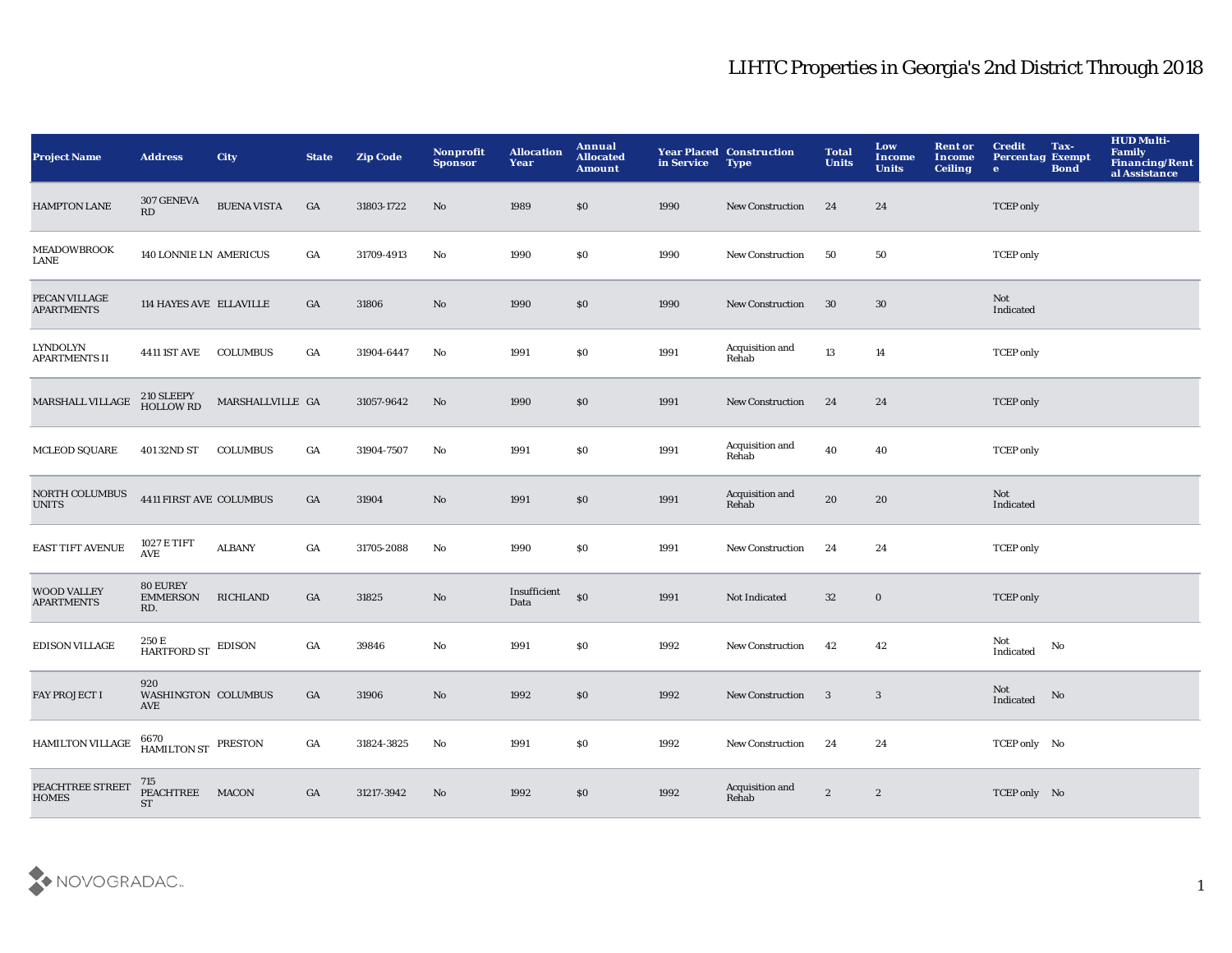| <b>Project Name</b>                     | <b>Address</b>                            | City               | <b>State</b> | <b>Zip Code</b> | Nonprofit<br><b>Sponsor</b> | <b>Allocation</b><br>Year | <b>Annual</b><br><b>Allocated</b><br><b>Amount</b> | in Service | <b>Year Placed Construction</b><br><b>Type</b> | <b>Total</b><br><b>Units</b> | Low<br><b>Income</b><br><b>Units</b> | <b>Rent or</b><br>Income<br><b>Ceiling</b> | <b>Credit</b><br><b>Percentag Exempt</b><br>$\mathbf{e}$ | Tax-<br><b>Bond</b> | <b>HUD Multi-</b><br><b>Family</b><br>Financing/Rent<br>al Assistance |
|-----------------------------------------|-------------------------------------------|--------------------|--------------|-----------------|-----------------------------|---------------------------|----------------------------------------------------|------------|------------------------------------------------|------------------------------|--------------------------------------|--------------------------------------------|----------------------------------------------------------|---------------------|-----------------------------------------------------------------------|
| <b>HAMPTON LANE</b>                     | 307 GENEVA<br>RD                          | <b>BUENA VISTA</b> | GA           | 31803-1722      | No                          | 1989                      | \$0                                                | 1990       | <b>New Construction</b>                        | 24                           | 24                                   |                                            | <b>TCEP</b> only                                         |                     |                                                                       |
| <b>MEADOWBROOK</b><br>LANE              | <b>140 LONNIE LN AMERICUS</b>             |                    | GA           | 31709-4913      | No                          | 1990                      | \$0                                                | 1990       | <b>New Construction</b>                        | 50                           | 50                                   |                                            | <b>TCEP</b> only                                         |                     |                                                                       |
| PECAN VILLAGE<br><b>APARTMENTS</b>      | 114 HAYES AVE ELLAVILLE                   |                    | GA           | 31806           | No                          | 1990                      | \$0                                                | 1990       | <b>New Construction</b>                        | 30                           | 30                                   |                                            | Not<br>Indicated                                         |                     |                                                                       |
| LYNDOLYN<br><b>APARTMENTS II</b>        | <b>4411 1ST AVE</b>                       | <b>COLUMBUS</b>    | GA           | 31904-6447      | No                          | 1991                      | \$0                                                | 1991       | Acquisition and<br>Rehab                       | 13                           | 14                                   |                                            | <b>TCEP</b> only                                         |                     |                                                                       |
| MARSHALL VILLAGE                        | 210 SLEEPY<br>HOLLOW RD                   | MARSHALLVILLE GA   |              | 31057-9642      | No                          | 1990                      | \$0                                                | 1991       | <b>New Construction</b>                        | 24                           | 24                                   |                                            | <b>TCEP</b> only                                         |                     |                                                                       |
| <b>MCLEOD SQUARE</b>                    | 401 32ND ST                               | <b>COLUMBUS</b>    | GA           | 31904-7507      | No                          | 1991                      | S <sub>0</sub>                                     | 1991       | Acquisition and<br>Rehab                       | 40                           | 40                                   |                                            | <b>TCEP</b> only                                         |                     |                                                                       |
| NORTH COLUMBUS<br><b>UNITS</b>          | <b>4411 FIRST AVE COLUMBUS</b>            |                    | GA           | 31904           | No                          | 1991                      | \$0                                                | 1991       | Acquisition and<br>Rehab                       | 20                           | 20                                   |                                            | Not<br>Indicated                                         |                     |                                                                       |
| EAST TIFT AVENUE                        | <b>1027 E TIFT</b><br>AVE                 | <b>ALBANY</b>      | GA           | 31705-2088      | No                          | 1990                      | \$0                                                | 1991       | <b>New Construction</b>                        | 24                           | 24                                   |                                            | <b>TCEP</b> only                                         |                     |                                                                       |
| <b>WOOD VALLEY</b><br><b>APARTMENTS</b> | <b>80 EUREY</b><br><b>EMMERSON</b><br>RD. | <b>RICHLAND</b>    | GA           | 31825           | No                          | Insufficient<br>Data      | \$0                                                | 1991       | Not Indicated                                  | 32                           | $\bf{0}$                             |                                            | <b>TCEP</b> only                                         |                     |                                                                       |
| <b>EDISON VILLAGE</b>                   | 250 E<br>HARTFORD ST                      | EDISON             | GA           | 39846           | No                          | 1991                      | \$0                                                | 1992       | <b>New Construction</b>                        | 42                           | 42                                   |                                            | Not<br>Indicated                                         | No                  |                                                                       |
| FAY PROJECT I                           | 920<br>WASHINGTON COLUMBUS<br>AVE         |                    | GA           | 31906           | No                          | 1992                      | \$0                                                | 1992       | <b>New Construction</b>                        | $\overline{\mathbf{3}}$      | 3                                    |                                            | Not<br>Indicated                                         | No                  |                                                                       |
| HAMILTON VILLAGE                        | 6670<br>HAMILTON ST PRESTON               |                    | GA           | 31824-3825      | No                          | 1991                      | \$0                                                | 1992       | <b>New Construction</b>                        | 24                           | 24                                   |                                            | TCEP only No                                             |                     |                                                                       |
| PEACHTREE STREET<br><b>HOMES</b>        | 715<br>PEACHTREE MACON<br><b>ST</b>       |                    | GA           | 31217-3942      | No                          | 1992                      | \$0                                                | 1992       | Acquisition and<br>Rehab                       | $\boldsymbol{2}$             | $\boldsymbol{2}$                     |                                            | TCEP only No                                             |                     |                                                                       |

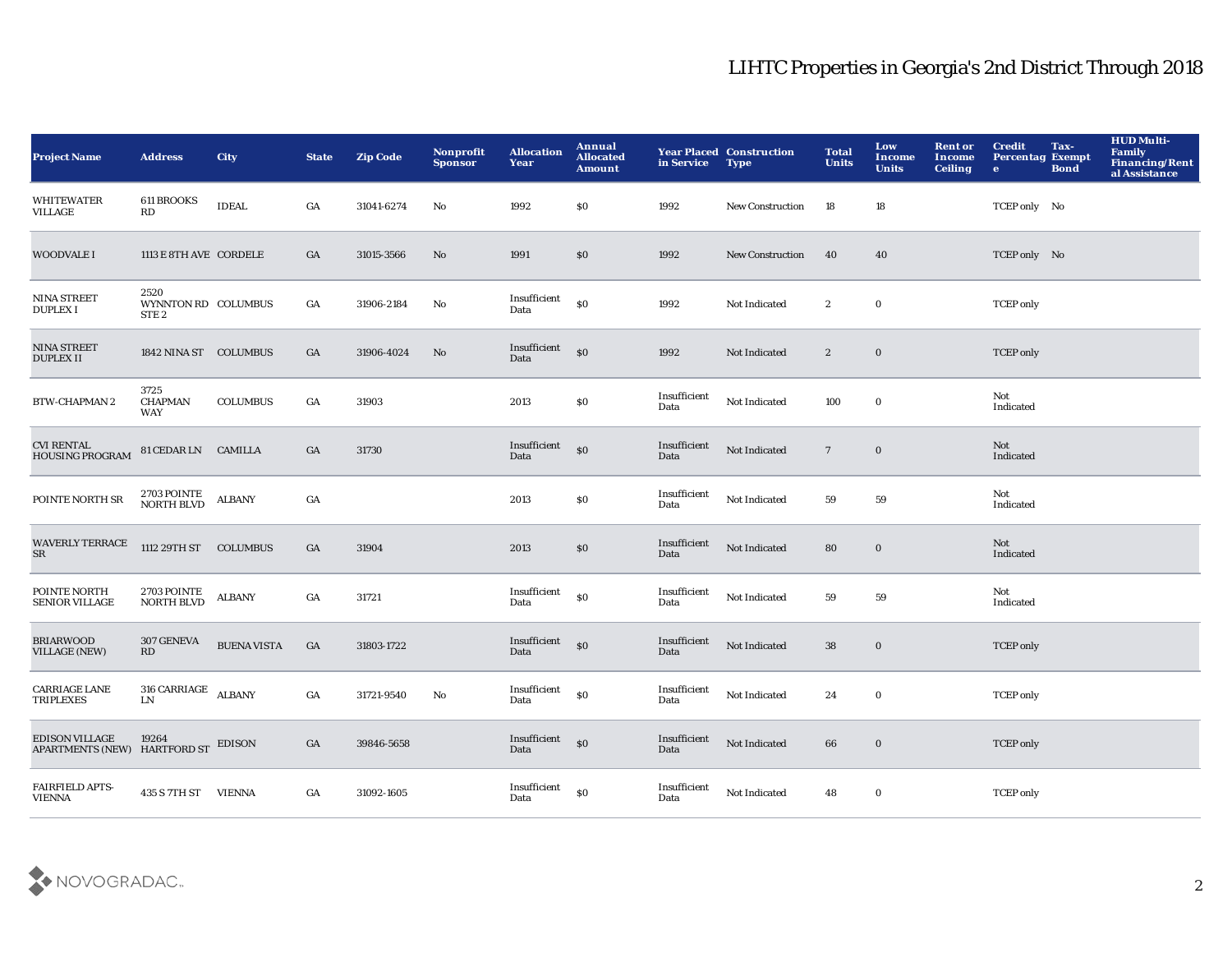| <b>Project Name</b>                                          | <b>Address</b>                                  | <b>City</b>        | <b>State</b>     | <b>Zip Code</b> | Nonprofit<br><b>Sponsor</b> | <b>Allocation</b><br>Year | Annual<br><b>Allocated</b><br><b>Amount</b>      | in Service           | <b>Year Placed Construction</b><br><b>Type</b> | <b>Total</b><br><b>Units</b> | Low<br><b>Income</b><br><b>Units</b> | <b>Rent or</b><br>Income<br><b>Ceiling</b> | <b>Credit</b><br><b>Percentag Exempt</b><br>$\bullet$ | Tax-<br><b>Bond</b> | <b>HUD Multi-</b><br><b>Family</b><br><b>Financing/Rent</b><br>al Assistance |
|--------------------------------------------------------------|-------------------------------------------------|--------------------|------------------|-----------------|-----------------------------|---------------------------|--------------------------------------------------|----------------------|------------------------------------------------|------------------------------|--------------------------------------|--------------------------------------------|-------------------------------------------------------|---------------------|------------------------------------------------------------------------------|
| <b>WHITEWATER</b><br>VILLAGE                                 | 611 BROOKS<br>RD                                | <b>IDEAL</b>       | GA               | 31041-6274      | No                          | 1992                      | \$0                                              | 1992                 | <b>New Construction</b>                        | 18                           | 18                                   |                                            | TCEP only No                                          |                     |                                                                              |
| <b>WOODVALE I</b>                                            | 1113 E 8TH AVE CORDELE                          |                    | GA               | 31015-3566      | $\mathbf{N}\mathbf{o}$      | 1991                      | \$0                                              | 1992                 | <b>New Construction</b>                        | 40                           | 40                                   |                                            | TCEP only No                                          |                     |                                                                              |
| <b>NINA STREET</b><br><b>DUPLEX I</b>                        | 2520<br>WYNNTON RD COLUMBUS<br>STE <sub>2</sub> |                    | GA               | 31906-2184      | No                          | Insufficient<br>Data      | $\$0$                                            | 1992                 | Not Indicated                                  | $\boldsymbol{2}$             | $\mathbf 0$                          |                                            | <b>TCEP</b> only                                      |                     |                                                                              |
| <b>NINA STREET</b><br><b>DUPLEX II</b>                       | 1842 NINA ST COLUMBUS                           |                    | GA               | 31906-4024      | No                          | Insufficient<br>Data      | $\boldsymbol{\mathsf{S}}\boldsymbol{\mathsf{O}}$ | 1992                 | Not Indicated                                  | $\boldsymbol{2}$             | $\mathbf 0$                          |                                            | <b>TCEP</b> only                                      |                     |                                                                              |
| <b>BTW-CHAPMAN 2</b>                                         | 3725<br><b>CHAPMAN</b><br>WAY                   | <b>COLUMBUS</b>    | GA               | 31903           |                             | 2013                      | $\$0$                                            | Insufficient<br>Data | Not Indicated                                  | 100                          | $\mathbf 0$                          |                                            | Not<br>Indicated                                      |                     |                                                                              |
| <b>CVI RENTAL</b><br><b>HOUSING PROGRAM</b>                  | 81 CEDAR LN CAMILLA                             |                    | GA               | 31730           |                             | Insufficient<br>Data      | $\boldsymbol{\mathsf{S}}\boldsymbol{\mathsf{O}}$ | Insufficient<br>Data | Not Indicated                                  | $\overline{7}$               | $\mathbf 0$                          |                                            | Not<br>Indicated                                      |                     |                                                                              |
| POINTE NORTH SR                                              | 2703 POINTE<br><b>NORTH BLVD</b>                | <b>ALBANY</b>      | $_{\mathrm{GA}}$ |                 |                             | 2013                      | $\$0$                                            | Insufficient<br>Data | Not Indicated                                  | 59                           | 59                                   |                                            | Not<br>Indicated                                      |                     |                                                                              |
| WAVERLY TERRACE<br>${\rm SR}$                                | 1112 29TH ST COLUMBUS                           |                    | GA               | 31904           |                             | 2013                      | $\$0$                                            | Insufficient<br>Data | Not Indicated                                  | 80                           | $\mathbf 0$                          |                                            | Not<br>Indicated                                      |                     |                                                                              |
| POINTE NORTH<br><b>SENIOR VILLAGE</b>                        | 2703 POINTE<br><b>NORTH BLVD</b>                | <b>ALBANY</b>      | GA               | 31721           |                             | Insufficient<br>Data      | \$0                                              | Insufficient<br>Data | Not Indicated                                  | 59                           | 59                                   |                                            | Not<br>Indicated                                      |                     |                                                                              |
| <b>BRIARWOOD</b><br><b>VILLAGE (NEW)</b>                     | 307 GENEVA<br>RD                                | <b>BUENA VISTA</b> | GA               | 31803-1722      |                             | Insufficient<br>Data      | \$0                                              | Insufficient<br>Data | Not Indicated                                  | 38                           | $\mathbf 0$                          |                                            | <b>TCEP</b> only                                      |                     |                                                                              |
| <b>CARRIAGE LANE</b><br><b>TRIPLEXES</b>                     | $316$ CARRIAGE $\quad$ ALBANY<br>${\rm LN}$     |                    | GA               | 31721-9540      | No                          | Insufficient<br>Data      | \$0                                              | Insufficient<br>Data | Not Indicated                                  | 24                           | $\bf{0}$                             |                                            | <b>TCEP</b> only                                      |                     |                                                                              |
| <b>EDISON VILLAGE</b><br>APARTMENTS (NEW) HARTFORD ST EDISON | 19264                                           |                    | GA               | 39846-5658      |                             | Insufficient<br>Data      | \$0                                              | Insufficient<br>Data | Not Indicated                                  | 66                           | $\bf{0}$                             |                                            | <b>TCEP</b> only                                      |                     |                                                                              |
| <b>FAIRFIELD APTS-</b><br><b>VIENNA</b>                      | 435 S 7TH ST VIENNA                             |                    | GA               | 31092-1605      |                             | Insufficient<br>Data      | \$0                                              | Insufficient<br>Data | Not Indicated                                  | 48                           | $\bf{0}$                             |                                            | <b>TCEP</b> only                                      |                     |                                                                              |

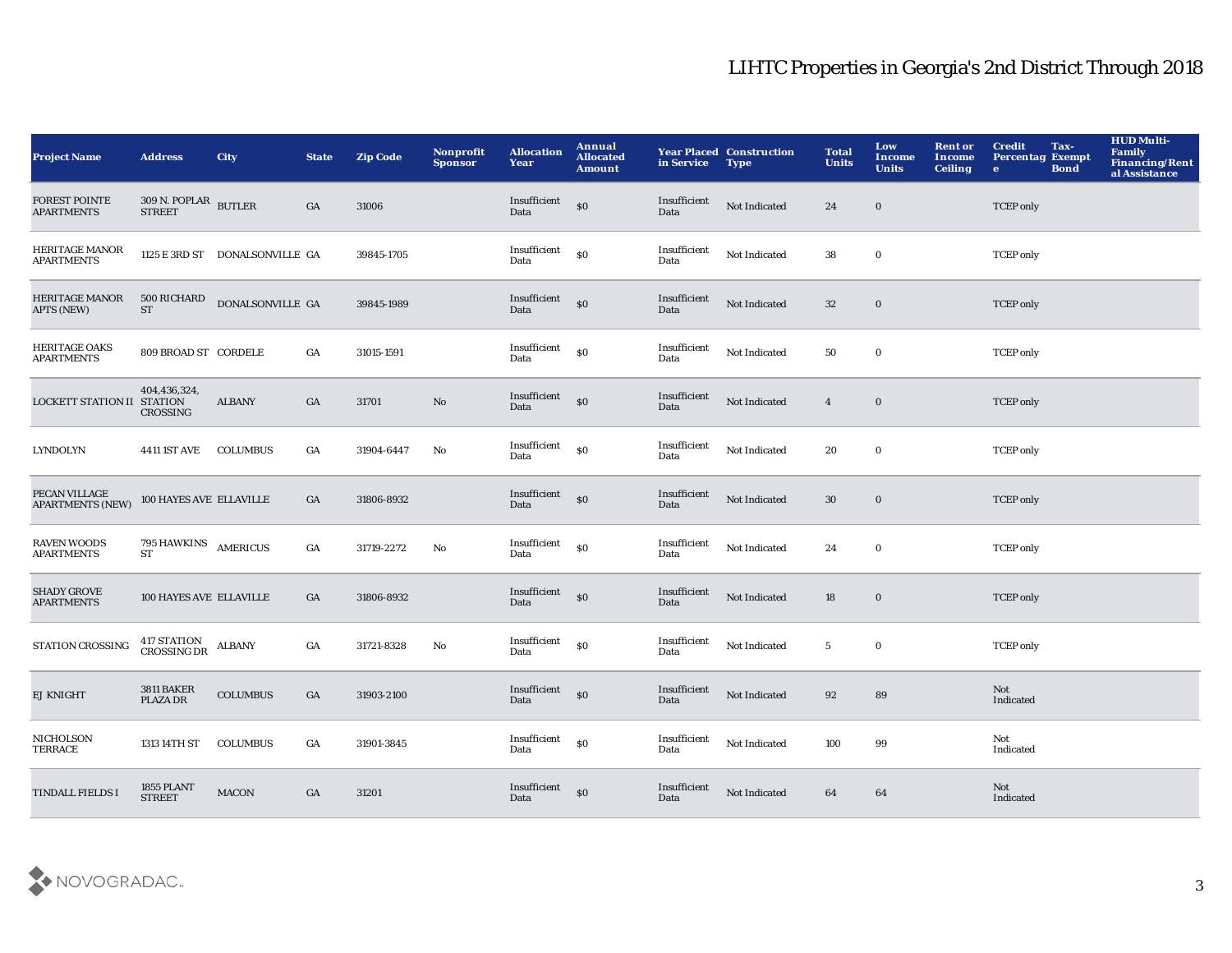| <b>Project Name</b>                        | <b>Address</b>                        | <b>City</b>                    | <b>State</b> | <b>Zip Code</b> | Nonprofit<br><b>Sponsor</b> | <b>Allocation</b><br>Year | Annual<br><b>Allocated</b><br><b>Amount</b>      | in Service           | <b>Year Placed Construction</b><br><b>Type</b> | <b>Total</b><br><b>Units</b> | Low<br><b>Income</b><br><b>Units</b> | <b>Rent or</b><br><b>Income</b><br><b>Ceiling</b> | <b>Credit</b><br>Tax-<br><b>Percentag Exempt</b><br><b>Bond</b><br>$\bullet$ | <b>HUD Multi-</b><br>Family<br><b>Financing/Rent</b><br>al Assistance |
|--------------------------------------------|---------------------------------------|--------------------------------|--------------|-----------------|-----------------------------|---------------------------|--------------------------------------------------|----------------------|------------------------------------------------|------------------------------|--------------------------------------|---------------------------------------------------|------------------------------------------------------------------------------|-----------------------------------------------------------------------|
| <b>FOREST POINTE</b><br><b>APARTMENTS</b>  | 309 N. POPLAR BUTLER<br><b>STREET</b> |                                | GA           | 31006           |                             | Insufficient<br>Data      | \$0                                              | Insufficient<br>Data | Not Indicated                                  | 24                           | $\bf{0}$                             |                                                   | <b>TCEP</b> only                                                             |                                                                       |
| <b>HERITAGE MANOR</b><br><b>APARTMENTS</b> |                                       | 1125 E 3RD ST DONALSONVILLE GA |              | 39845-1705      |                             | Insufficient<br>Data      | \$0                                              | Insufficient<br>Data | Not Indicated                                  | 38                           | $\mathbf 0$                          |                                                   | <b>TCEP</b> only                                                             |                                                                       |
| <b>HERITAGE MANOR</b><br>APTS (NEW)        | <b>500 RICHARD</b><br><b>ST</b>       | DONALSONVILLE GA               |              | 39845-1989      |                             | Insufficient<br>Data      | \$0                                              | Insufficient<br>Data | Not Indicated                                  | 32                           | $\mathbf 0$                          |                                                   | <b>TCEP</b> only                                                             |                                                                       |
| <b>HERITAGE OAKS</b><br><b>APARTMENTS</b>  | 809 BROAD ST CORDELE                  |                                | GA           | 31015-1591      |                             | Insufficient<br>Data      | $\boldsymbol{\mathsf{S}}\boldsymbol{\mathsf{O}}$ | Insufficient<br>Data | Not Indicated                                  | 50                           | $\mathbf 0$                          |                                                   | <b>TCEP</b> only                                                             |                                                                       |
| LOCKETT STATION II STATION                 | 404,436,324,<br>CROSSING              | <b>ALBANY</b>                  | GA           | 31701           | $\mathbf{N}\mathbf{o}$      | Insufficient<br>Data      | $\boldsymbol{\mathsf{S}}$                        | Insufficient<br>Data | Not Indicated                                  | $\overline{4}$               | $\bf{0}$                             |                                                   | <b>TCEP</b> only                                                             |                                                                       |
| <b>LYNDOLYN</b>                            | <b>4411 IST AVE</b>                   | <b>COLUMBUS</b>                | GA           | 31904-6447      | No                          | Insufficient<br>Data      | \$0                                              | Insufficient<br>Data | Not Indicated                                  | 20                           | $\bf{0}$                             |                                                   | <b>TCEP</b> only                                                             |                                                                       |
| PECAN VILLAGE<br><b>APARTMENTS (NEW)</b>   | 100 HAYES AVE ELLAVILLE               |                                | GA           | 31806-8932      |                             | Insufficient<br>Data      | $\boldsymbol{\mathsf{S}}$                        | Insufficient<br>Data | Not Indicated                                  | 30                           | $\bf{0}$                             |                                                   | <b>TCEP</b> only                                                             |                                                                       |
| <b>RAVEN WOODS</b><br><b>APARTMENTS</b>    | 795 HAWKINS AMERICUS<br><b>ST</b>     |                                | GA           | 31719-2272      | No                          | Insufficient<br>Data      | \$0                                              | Insufficient<br>Data | Not Indicated                                  | 24                           | $\bf{0}$                             |                                                   | <b>TCEP</b> only                                                             |                                                                       |
| <b>SHADY GROVE</b><br><b>APARTMENTS</b>    | 100 HAYES AVE ELLAVILLE               |                                | GA           | 31806-8932      |                             | Insufficient<br>Data      | $\$0$                                            | Insufficient<br>Data | Not Indicated                                  | 18                           | $\bf{0}$                             |                                                   | <b>TCEP</b> only                                                             |                                                                       |
| STATION CROSSING                           | 417 STATION<br>CROSSING DR            | <b>ALBANY</b>                  | GA           | 31721-8328      | $\mathbf{No}$               | Insufficient<br>Data      | \$0                                              | Insufficient<br>Data | Not Indicated                                  | $5\phantom{.0}$              | $\mathbf 0$                          |                                                   | <b>TCEP</b> only                                                             |                                                                       |
| EJ KNIGHT                                  | 3811 BAKER<br>PLAZA DR                | <b>COLUMBUS</b>                | GA           | 31903-2100      |                             | Insufficient<br>Data      | $\mathbf{S}$                                     | Insufficient<br>Data | Not Indicated                                  | 92                           | 89                                   |                                                   | Not<br>Indicated                                                             |                                                                       |
| NICHOLSON<br>TERRACE                       | 1313 14TH ST                          | <b>COLUMBUS</b>                | GA           | 31901-3845      |                             | Insufficient<br>Data      | $\$0$                                            | Insufficient<br>Data | Not Indicated                                  | 100                          | 99                                   |                                                   | Not<br>Indicated                                                             |                                                                       |
| <b>TINDALL FIELDS I</b>                    | 1855 PLANT<br><b>STREET</b>           | <b>MACON</b>                   | GA           | 31201           |                             | Insufficient<br>Data      | \$0                                              | Insufficient<br>Data | Not Indicated                                  | 64                           | 64                                   |                                                   | Not<br>Indicated                                                             |                                                                       |

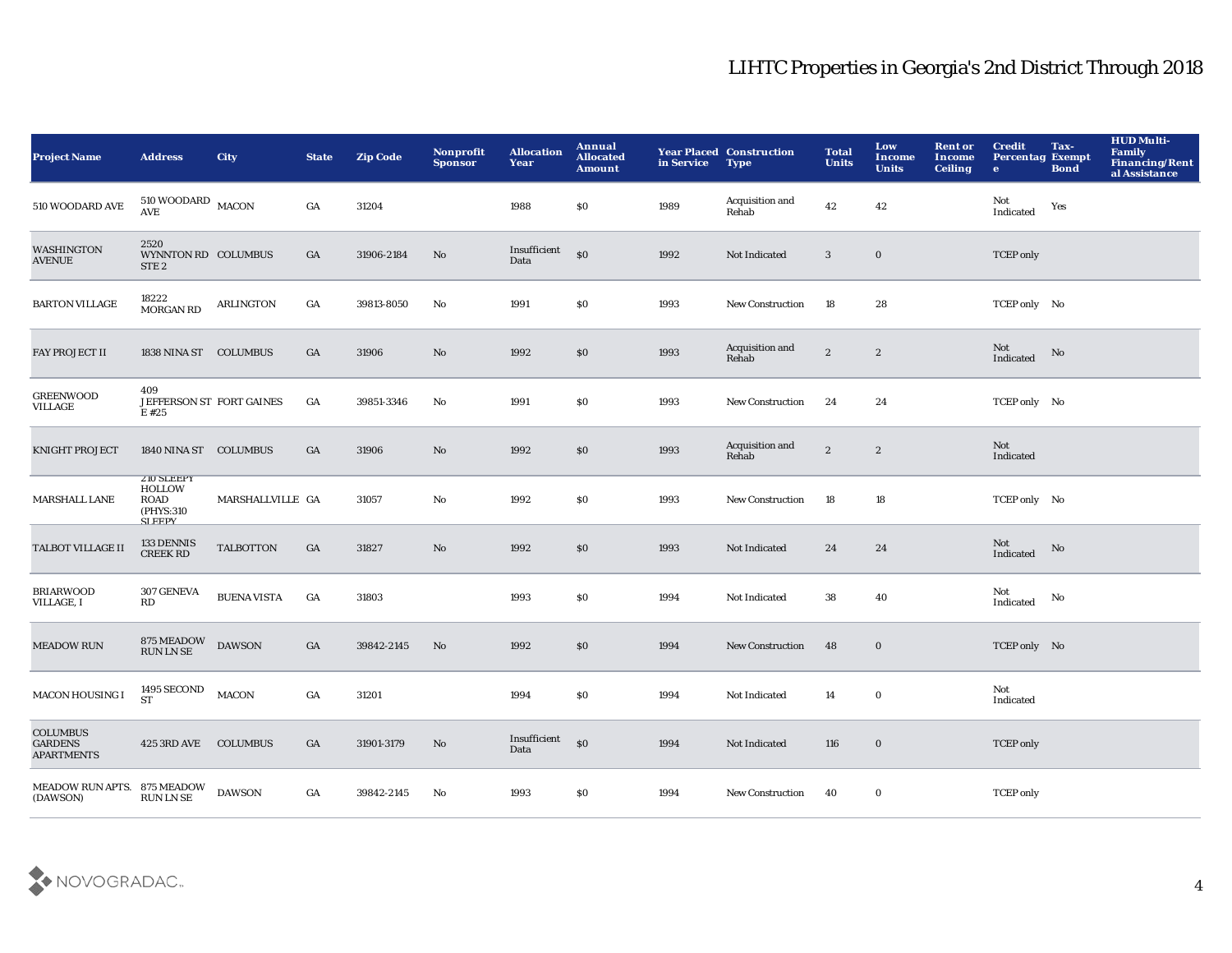| <b>Project Name</b>                                    | <b>Address</b>                                                             | <b>City</b>        | <b>State</b>     | <b>Zip Code</b> | Nonprofit<br><b>Sponsor</b> | <b>Allocation</b><br>Year | Annual<br><b>Allocated</b><br><b>Amount</b> | in Service | <b>Year Placed Construction</b><br><b>Type</b> | <b>Total</b><br><b>Units</b> | Low<br><b>Income</b><br><b>Units</b> | <b>Rent or</b><br>Income<br><b>Ceiling</b> | <b>Credit</b><br><b>Percentag Exempt</b><br>$\bullet$ | Tax-<br><b>Bond</b> | <b>HUD Multi-</b><br>Family<br>Financing/Rent<br>al Assistance |
|--------------------------------------------------------|----------------------------------------------------------------------------|--------------------|------------------|-----------------|-----------------------------|---------------------------|---------------------------------------------|------------|------------------------------------------------|------------------------------|--------------------------------------|--------------------------------------------|-------------------------------------------------------|---------------------|----------------------------------------------------------------|
| 510 WOODARD AVE                                        | $510\,$ WOODARD $\,$ MACON AVE                                             |                    | GA               | 31204           |                             | 1988                      | \$0                                         | 1989       | Acquisition and<br>Rehab                       | 42                           | $\bf 42$                             |                                            | Not<br>Indicated                                      | Yes                 |                                                                |
| <b>WASHINGTON</b><br><b>AVENUE</b>                     | 2520<br>WYNNTON RD COLUMBUS<br>STE <sub>2</sub>                            |                    | GA               | 31906-2184      | $\mathbf{N}\mathbf{o}$      | Insufficient<br>Data      | $\mathbf{S}$                                | 1992       | Not Indicated                                  | 3                            | $\mathbf 0$                          |                                            | <b>TCEP</b> only                                      |                     |                                                                |
| <b>BARTON VILLAGE</b>                                  | 18222<br>MORGAN RD                                                         | <b>ARLINGTON</b>   | $_{\mathrm{GA}}$ | 39813-8050      | No                          | 1991                      | \$0                                         | 1993       | <b>New Construction</b>                        | 18                           | 28                                   |                                            | TCEP only No                                          |                     |                                                                |
| FAY PROJECT II                                         | 1838 NINA ST COLUMBUS                                                      |                    | GA               | 31906           | No                          | 1992                      | \$0                                         | 1993       | Acquisition and<br>Rehab                       | $\boldsymbol{2}$             | $\boldsymbol{2}$                     |                                            | Not<br>$\operatorname{Indicated}$                     | No                  |                                                                |
| <b>GREENWOOD</b><br>VILLAGE                            | 409<br>JEFFERSON ST FORT GAINES<br>E #25                                   |                    | GA               | 39851-3346      | No                          | 1991                      | \$0                                         | 1993       | <b>New Construction</b>                        | 24                           | 24                                   |                                            | TCEP only No                                          |                     |                                                                |
| <b>KNIGHT PROJECT</b>                                  | 1840 NINA ST COLUMBUS                                                      |                    | GA               | 31906           | No                          | 1992                      | \$0                                         | 1993       | Acquisition and<br>Rehab                       | $\boldsymbol{2}$             | $\boldsymbol{2}$                     |                                            | Not<br>Indicated                                      |                     |                                                                |
| <b>MARSHALL LANE</b>                                   | <b>ZIO SLEEPY</b><br><b>HOLLOW</b><br>ROAD<br>(PHYS:310)<br><b>SI FFPV</b> | MARSHALLVILLE GA   |                  | 31057           | No                          | 1992                      | $\$0$                                       | 1993       | <b>New Construction</b>                        | 18                           | 18                                   |                                            | TCEP only No                                          |                     |                                                                |
| <b>TALBOT VILLAGE II</b>                               | 133 DENNIS<br><b>CREEK RD</b>                                              | <b>TALBOTTON</b>   | GA               | 31827           | $\mathbf{N}\mathbf{o}$      | 1992                      | \$0                                         | 1993       | Not Indicated                                  | 24                           | 24                                   |                                            | Not<br>Indicated                                      | No                  |                                                                |
| <b>BRIARWOOD</b><br>VILLAGE, I                         | <b>307 GENEVA</b><br>RD                                                    | <b>BUENA VISTA</b> | GA               | 31803           |                             | 1993                      | \$0                                         | 1994       | Not Indicated                                  | 38                           | 40                                   |                                            | Not<br>Indicated                                      | No                  |                                                                |
| <b>MEADOW RUN</b>                                      | 875 MEADOW<br>RUN LN SE                                                    | <b>DAWSON</b>      | GA               | 39842-2145      | No                          | 1992                      | \$0                                         | 1994       | New Construction                               | 48                           | $\bf{0}$                             |                                            | TCEP only No                                          |                     |                                                                |
| <b>MACON HOUSING I</b>                                 | 1495 SECOND MACON<br><b>ST</b>                                             |                    | GA               | 31201           |                             | 1994                      | \$0                                         | 1994       | Not Indicated                                  | 14                           | $\mathbf 0$                          |                                            | Not<br>Indicated                                      |                     |                                                                |
| <b>COLUMBUS</b><br><b>GARDENS</b><br><b>APARTMENTS</b> | 425 3RD AVE COLUMBUS                                                       |                    | GA               | 31901-3179      | No                          | Insufficient<br>Data      | \$0                                         | 1994       | Not Indicated                                  | 116                          | $\bf{0}$                             |                                            | <b>TCEP</b> only                                      |                     |                                                                |
| MEADOW RUN APTS. 875 MEADOW (DAWSON) RUN LN SE         |                                                                            | <b>DAWSON</b>      | GA               | 39842-2145      | No                          | 1993                      | \$0                                         | 1994       | <b>New Construction</b>                        | 40                           | $\bf{0}$                             |                                            | <b>TCEP</b> only                                      |                     |                                                                |

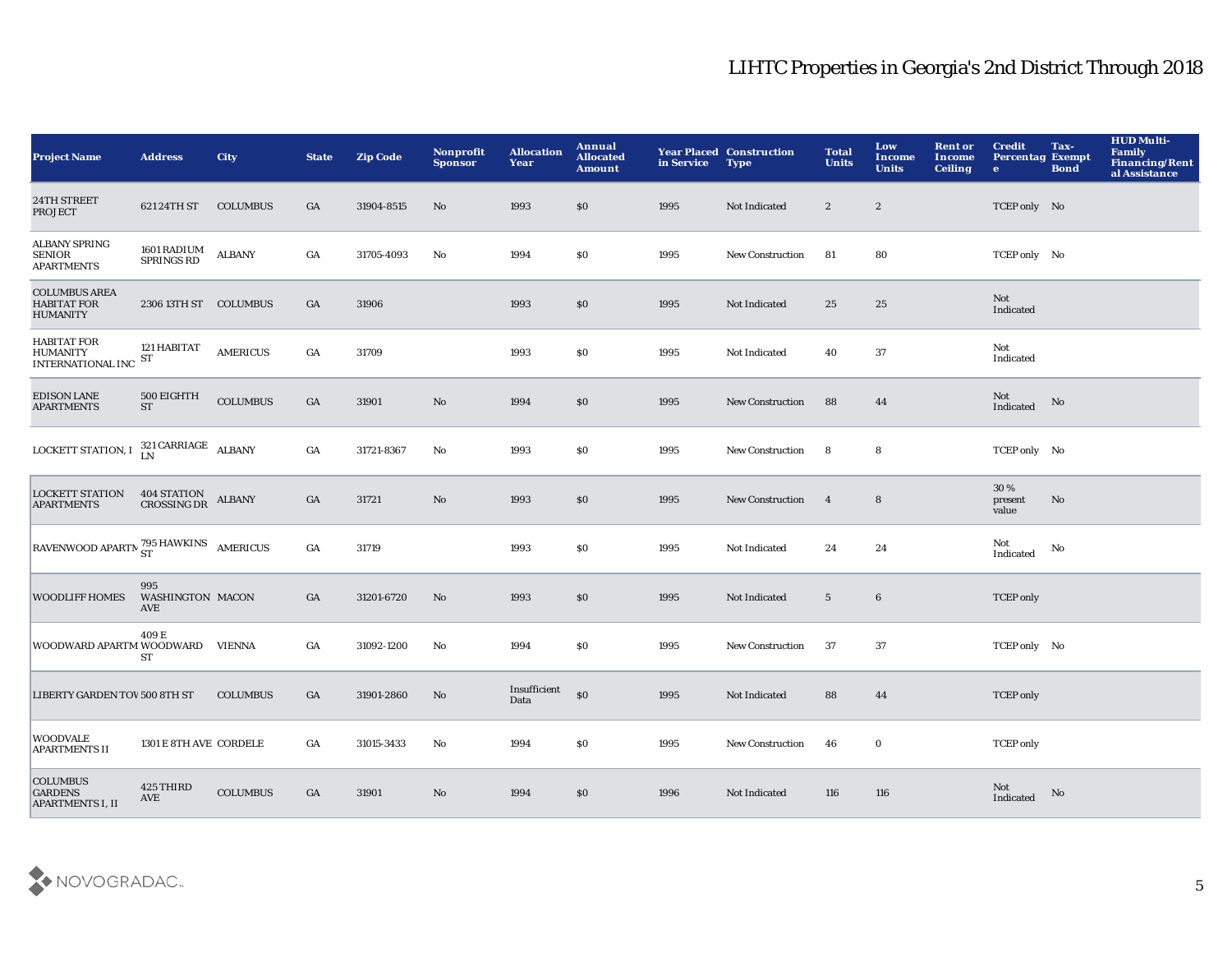| <b>Project Name</b>                                                                                              | <b>Address</b>                        | <b>City</b>     | <b>State</b>     | <b>Zip Code</b> | <b>Nonprofit</b><br><b>Sponsor</b> | <b>Allocation</b><br>Year | Annual<br><b>Allocated</b><br><b>Amount</b> | in Service | <b>Year Placed Construction</b><br><b>Type</b> | <b>Total</b><br><b>Units</b> | Low<br>Income<br><b>Units</b> | <b>Rent or</b><br><b>Income</b><br><b>Ceiling</b> | <b>Credit</b><br><b>Percentag Exempt</b><br>$\bullet$ | Tax-<br><b>Bond</b> | <b>HUD Multi-</b><br>Family<br><b>Financing/Rent</b><br>al Assistance |
|------------------------------------------------------------------------------------------------------------------|---------------------------------------|-----------------|------------------|-----------------|------------------------------------|---------------------------|---------------------------------------------|------------|------------------------------------------------|------------------------------|-------------------------------|---------------------------------------------------|-------------------------------------------------------|---------------------|-----------------------------------------------------------------------|
| 24TH STREET<br><b>PROJECT</b>                                                                                    | 621 24TH ST                           | <b>COLUMBUS</b> | GA               | 31904-8515      | No                                 | 1993                      | \$0                                         | 1995       | Not Indicated                                  | $\boldsymbol{2}$             | $\boldsymbol{2}$              |                                                   | TCEP only No                                          |                     |                                                                       |
| <b>ALBANY SPRING</b><br><b>SENIOR</b><br><b>APARTMENTS</b>                                                       | 1601 RADIUM<br>SPRINGS RD             | <b>ALBANY</b>   | $_{\mathrm{GA}}$ | 31705-4093      | $\mathbf{N}\mathbf{o}$             | 1994                      | \$0                                         | 1995       | <b>New Construction</b>                        | 81                           | 80                            |                                                   | TCEP only No                                          |                     |                                                                       |
| <b>COLUMBUS AREA</b><br><b>HABITAT FOR</b><br><b>HUMANITY</b>                                                    | 2306 13TH ST COLUMBUS                 |                 | GA               | 31906           |                                    | 1993                      | \$0                                         | 1995       | Not Indicated                                  | 25                           | 25                            |                                                   | Not<br>Indicated                                      |                     |                                                                       |
| <b>HABITAT FOR</b><br><b>HUMANITY</b><br>$\sf{INTERNATIONAL}$ INC                                                | 121 HABITAT<br>ST                     | <b>AMERICUS</b> | $_{\mathrm{GA}}$ | 31709           |                                    | 1993                      | \$0                                         | 1995       | Not Indicated                                  | 40                           | 37                            |                                                   | Not<br>Indicated                                      |                     |                                                                       |
| <b>EDISON LANE</b><br><b>APARTMENTS</b>                                                                          | 500 EIGHTH<br><b>ST</b>               | <b>COLUMBUS</b> | $_{\mathrm{GA}}$ | 31901           | No                                 | 1994                      | \$0                                         | 1995       | <b>New Construction</b>                        | 88                           | 44                            |                                                   | Not<br>Indicated                                      | No                  |                                                                       |
| $\textbf{LOCKETT STATION}, \textbf{I} \begin{tabular}{ll} 321 \textbf{CARRIAGE} & \textbf{ALEANY} \end{tabular}$ |                                       |                 | $_{\mathrm{GA}}$ | 31721-8367      | $\mathbf{N}\mathbf{o}$             | 1993                      | \$0                                         | 1995       | <b>New Construction</b>                        | 8                            | ${\bf 8}$                     |                                                   | TCEP only No                                          |                     |                                                                       |
| LOCKETT STATION 404 STATION ALBANY<br>APARTMENTS CROSSING DR                                                     |                                       |                 | GA               | 31721           | No                                 | 1993                      | \$0                                         | 1995       | <b>New Construction</b>                        | $\overline{4}$               | 8                             |                                                   | 30%<br>present<br>value                               | No                  |                                                                       |
| RAVENWOOD APARTM 795 HAWKINS AMERICUS                                                                            |                                       |                 | $_{\mathrm{GA}}$ | 31719           |                                    | 1993                      | \$0                                         | 1995       | Not Indicated                                  | 24                           | 24                            |                                                   | Not<br>Indicated                                      | No                  |                                                                       |
| <b>WOODLIFF HOMES</b>                                                                                            | 995<br>WASHINGTON MACON<br><b>AVE</b> |                 | GA               | 31201-6720      | No                                 | 1993                      | \$0                                         | 1995       | Not Indicated                                  | $5\phantom{.0}$              | $\bf 6$                       |                                                   | <b>TCEP</b> only                                      |                     |                                                                       |
| WOODWARD APARTM WOODWARD                                                                                         | 409 E<br><b>ST</b>                    | <b>VIENNA</b>   | GA               | 31092-1200      | $\mathbf{N}\mathbf{o}$             | 1994                      | <b>SO</b>                                   | 1995       | <b>New Construction</b>                        | 37                           | 37                            |                                                   | TCEP only No                                          |                     |                                                                       |
| LIBERTY GARDEN TOV 500 8TH ST                                                                                    |                                       | <b>COLUMBUS</b> | GA               | 31901-2860      | $\mathbf{N}\mathbf{o}$             | Insufficient<br>Data      | $\boldsymbol{\mathsf{S}}$                   | 1995       | Not Indicated                                  | 88                           | 44                            |                                                   | <b>TCEP</b> only                                      |                     |                                                                       |
| <b>WOODVALE</b><br><b>APARTMENTS II</b>                                                                          | 1301 E 8TH AVE CORDELE                |                 | GA               | 31015-3433      | $\mathbf{N}\mathbf{o}$             | 1994                      | \$0                                         | 1995       | <b>New Construction</b>                        | 46                           | $\mathbf 0$                   |                                                   | <b>TCEP</b> only                                      |                     |                                                                       |
| COLUMBUS<br><b>GARDENS</b><br><b>APARTMENTS I, II</b>                                                            | 425 THIRD<br>AVE                      | <b>COLUMBUS</b> | GA               | 31901           | No                                 | 1994                      | \$0                                         | 1996       | Not Indicated                                  | 116                          | 116                           |                                                   | Not<br>Indicated                                      | No                  |                                                                       |

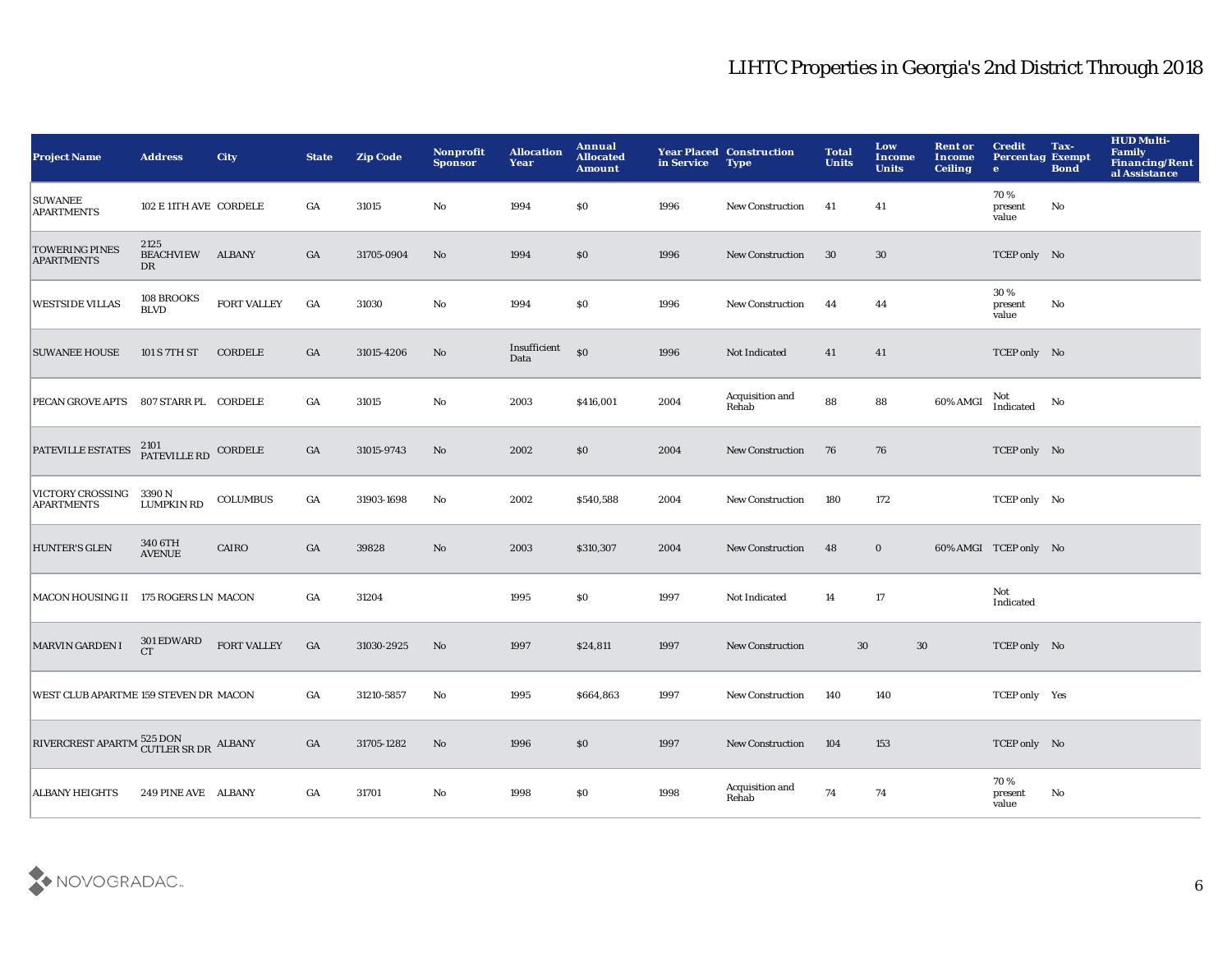| <b>Project Name</b>                        | <b>Address</b>                          | <b>City</b>        | <b>State</b>     | <b>Zip Code</b> | Nonprofit<br><b>Sponsor</b> | <b>Allocation</b><br>Year | <b>Annual</b><br><b>Allocated</b><br><b>Amount</b> | in Service | <b>Year Placed Construction</b><br><b>Type</b> | <b>Total</b><br><b>Units</b> | Low<br><b>Income</b><br><b>Units</b> | <b>Rent or</b><br>Income<br><b>Ceiling</b> | <b>Credit</b><br><b>Percentag Exempt</b><br>$\mathbf{e}$ | Tax-<br><b>Bond</b> | <b>HUD Multi-</b><br><b>Family</b><br><b>Financing/Rent</b><br>al Assistance |
|--------------------------------------------|-----------------------------------------|--------------------|------------------|-----------------|-----------------------------|---------------------------|----------------------------------------------------|------------|------------------------------------------------|------------------------------|--------------------------------------|--------------------------------------------|----------------------------------------------------------|---------------------|------------------------------------------------------------------------------|
| <b>SUWANEE</b><br><b>APARTMENTS</b>        | 102 E 11TH AVE CORDELE                  |                    | GA               | 31015           | No                          | 1994                      | \$0                                                | 1996       | <b>New Construction</b>                        | 41                           | 41                                   |                                            | 70%<br>present<br>value                                  | No                  |                                                                              |
| <b>TOWERING PINES</b><br><b>APARTMENTS</b> | 2125<br>BEACHVIEW ALBANY<br><b>DR</b>   |                    | $_{\mathrm{GA}}$ | 31705-0904      | No                          | 1994                      | \$0                                                | 1996       | New Construction                               | 30                           | 30                                   |                                            | TCEP only No                                             |                     |                                                                              |
| <b>WESTSIDE VILLAS</b>                     | 108 BROOKS<br><b>BLVD</b>               | <b>FORT VALLEY</b> | GA               | 31030           | $\mathbf {No}$              | 1994                      | $\$0$                                              | 1996       | <b>New Construction</b>                        | 44                           | 44                                   |                                            | 30%<br>present<br>value                                  | No                  |                                                                              |
| <b>SUWANEE HOUSE</b>                       | 101 S 7TH ST                            | CORDELE            | GA               | 31015-4206      | No                          | Insufficient<br>Data      | \$0                                                | 1996       | Not Indicated                                  | 41                           | 41                                   |                                            | TCEP only No                                             |                     |                                                                              |
| PECAN GROVE APTS 807 STARR PL CORDELE      |                                         |                    | GA               | 31015           | No                          | 2003                      | \$416,001                                          | 2004       | Acquisition and<br>Rehab                       | 88                           | 88                                   | 60% AMGI                                   | Not<br>Indicated                                         | No                  |                                                                              |
| PATEVILLE ESTATES                          | $^{2101}_{\rm {PATEVILLE\ RD}}$ CORDELE |                    | GA               | 31015-9743      | $\mathbf{No}$               | 2002                      | \$0                                                | 2004       | <b>New Construction</b>                        | 76                           | 76                                   |                                            | TCEP only No                                             |                     |                                                                              |
| VICTORY CROSSING<br><b>APARTMENTS</b>      | 3390 N<br><b>LUMPKIN RD</b>             | <b>COLUMBUS</b>    | GA               | 31903-1698      | No                          | 2002                      | \$540,588                                          | 2004       | New Construction                               | 180                          | 172                                  |                                            | TCEP only No                                             |                     |                                                                              |
| <b>HUNTER'S GLEN</b>                       | 340 6TH<br><b>AVENUE</b>                | CAIRO              | GA               | 39828           | No                          | 2003                      | \$310,307                                          | 2004       | <b>New Construction</b>                        | 48                           | $\mathbf 0$                          |                                            | 60% AMGI TCEP only No                                    |                     |                                                                              |
| MACON HOUSING II 175 ROGERS LN MACON       |                                         |                    | GA               | 31204           |                             | 1995                      | \$0                                                | 1997       | Not Indicated                                  | 14                           | 17                                   |                                            | Not<br>Indicated                                         |                     |                                                                              |
| <b>MARVIN GARDEN I</b>                     | 301 EDWARD<br>CT                        | <b>FORT VALLEY</b> | GA               | 31030-2925      | $\mathbf{N}\mathbf{o}$      | 1997                      | \$24,811                                           | 1997       | <b>New Construction</b>                        |                              | $30\,$                               | $30\,$                                     | TCEP only No                                             |                     |                                                                              |
| WEST CLUB APARTME 159 STEVEN DR MACON      |                                         |                    | GA               | 31210-5857      | No                          | 1995                      | \$664,863                                          | 1997       | <b>New Construction</b>                        | 140                          | 140                                  |                                            | TCEP only Yes                                            |                     |                                                                              |
| RIVERCREST APARTM CUTLER SR DR ALBANY      |                                         |                    | GA               | 31705-1282      | No                          | 1996                      | \$0                                                | 1997       | <b>New Construction</b>                        | 104                          | 153                                  |                                            | TCEP only No                                             |                     |                                                                              |
| <b>ALBANY HEIGHTS</b>                      | 249 PINE AVE ALBANY                     |                    | GA               | 31701           | No                          | 1998                      | \$0                                                | 1998       | Acquisition and<br>Rehab                       | 74                           | 74                                   |                                            | 70%<br>present<br>value                                  | No                  |                                                                              |

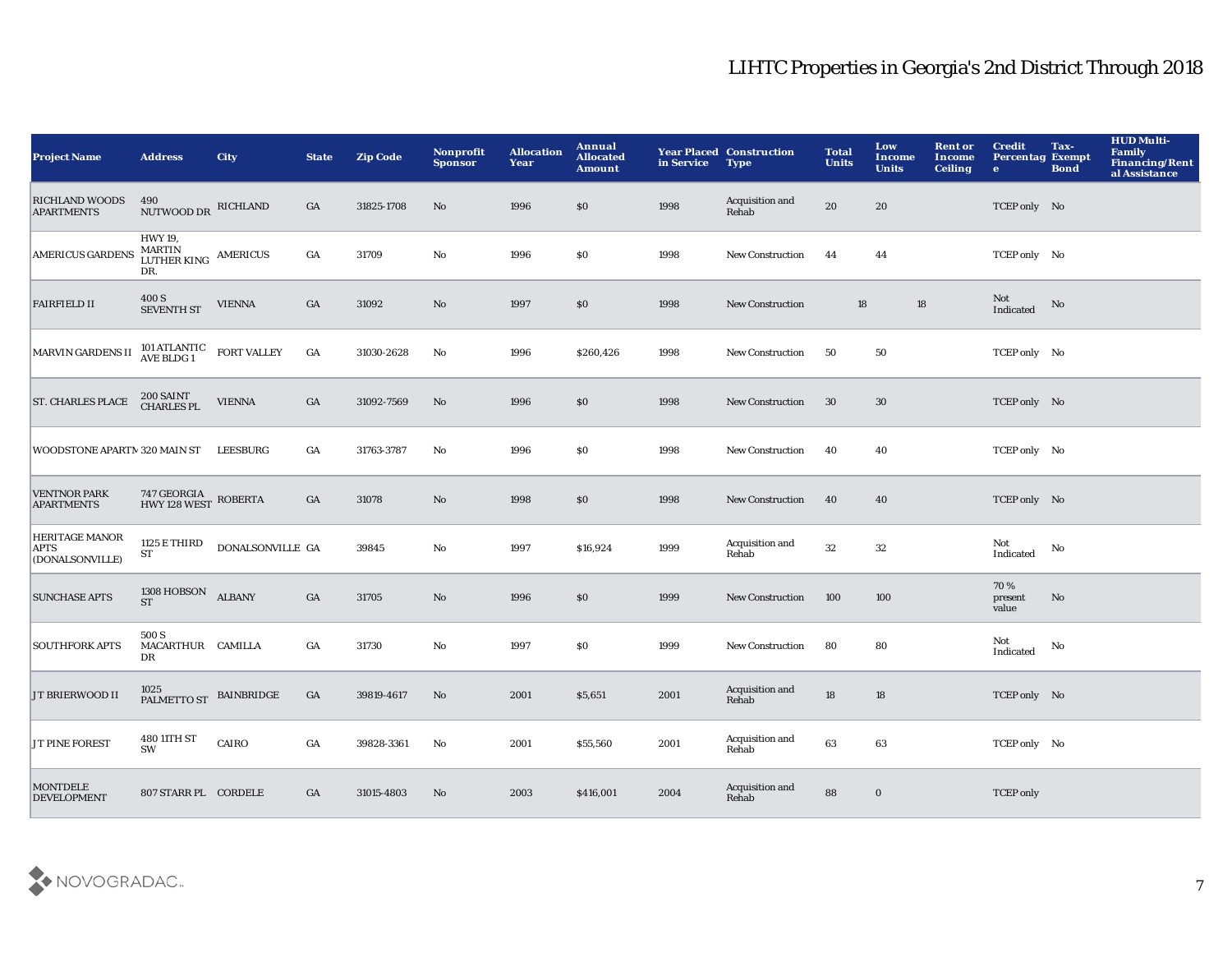| <b>Project Name</b>                                     | <b>Address</b>                                | <b>City</b>        | <b>State</b>     | <b>Zip Code</b> | <b>Nonprofit</b><br><b>Sponsor</b> | <b>Allocation</b><br>Year | Annual<br><b>Allocated</b><br><b>Amount</b> | in Service | <b>Year Placed Construction</b><br><b>Type</b> | <b>Total</b><br><b>Units</b> | Low<br>Income<br><b>Units</b> | <b>Rent or</b><br><b>Income</b><br><b>Ceiling</b> | <b>Credit</b><br><b>Percentag Exempt</b><br>$\mathbf{e}$ | Tax-<br><b>Bond</b> | <b>HUD Multi-</b><br>Family<br><b>Financing/Rent</b><br>al Assistance |
|---------------------------------------------------------|-----------------------------------------------|--------------------|------------------|-----------------|------------------------------------|---------------------------|---------------------------------------------|------------|------------------------------------------------|------------------------------|-------------------------------|---------------------------------------------------|----------------------------------------------------------|---------------------|-----------------------------------------------------------------------|
| <b>RICHLAND WOODS</b><br><b>APARTMENTS</b>              | 490<br>NUTWOOD DR RICHLAND                    |                    | GA               | 31825-1708      | No                                 | 1996                      | \$0\$                                       | 1998       | Acquisition and<br>Rehab                       | 20                           | 20                            |                                                   | TCEP only No                                             |                     |                                                                       |
| <b>AMERICUS GARDENS</b>                                 | <b>HWY 19,</b><br>MARTIN AMERICUS<br>DR.      |                    | GA               | 31709           | No                                 | 1996                      | \$0                                         | 1998       | New Construction                               | 44                           | 44                            |                                                   | TCEP only No                                             |                     |                                                                       |
| <b>FAIRFIELD II</b>                                     | $400\,\mathrm{S}$ SEVENTH ST                  | <b>VIENNA</b>      | $_{\mathrm{GA}}$ | 31092           | No                                 | 1997                      | $\$0$                                       | 1998       | <b>New Construction</b>                        | 18                           |                               | 18                                                | Not<br>Indicated                                         | No                  |                                                                       |
| <b>MARVIN GARDENS II</b>                                | 101 ATLANTIC<br>AVE BLDG 1                    | <b>FORT VALLEY</b> | GA               | 31030-2628      | No                                 | 1996                      | \$260,426                                   | 1998       | New Construction                               | 50                           | 50                            |                                                   | TCEP only No                                             |                     |                                                                       |
| <b>ST. CHARLES PLACE</b>                                | 200 SAINT<br>CHARLES PL                       | <b>VIENNA</b>      | GA               | 31092-7569      | No                                 | 1996                      | \$0                                         | 1998       | <b>New Construction</b>                        | 30                           | 30                            |                                                   | TCEP only No                                             |                     |                                                                       |
| WOODSTONE APARTM 320 MAIN ST                            |                                               | <b>LEESBURG</b>    | GA               | 31763-3787      | No                                 | 1996                      | \$0                                         | 1998       | <b>New Construction</b>                        | 40                           | 40                            |                                                   | TCEP only No                                             |                     |                                                                       |
| <b>VENTNOR PARK</b><br><b>APARTMENTS</b>                | $747\,\mbox{GEORGIA}$ ROBERTA<br>HWY 128 WEST |                    | GA               | 31078           | $\mathbf{N}\mathbf{o}$             | 1998                      | \$0                                         | 1998       | <b>New Construction</b>                        | 40                           | 40                            |                                                   | TCEP only No                                             |                     |                                                                       |
| <b>HERITAGE MANOR</b><br><b>APTS</b><br>(DONALSONVILLE) | 1125 E THIRD<br>${\cal S}{\cal T}$            | DONALSONVILLE GA   |                  | 39845           | No                                 | 1997                      | \$16,924                                    | 1999       | Acquisition and<br>Rehab                       | $32\,$                       | $32\,$                        |                                                   | Not<br>Indicated                                         | No                  |                                                                       |
| <b>SUNCHASE APTS</b>                                    | $1308$ HOBSON $\quad$ ALBANY<br><b>ST</b>     |                    | GA               | 31705           | No                                 | 1996                      | \$0                                         | 1999       | <b>New Construction</b>                        | 100                          | 100                           |                                                   | 70%<br>present<br>value                                  | No                  |                                                                       |
| <b>SOUTHFORK APTS</b>                                   | 500 S<br>MACARTHUR CAMILLA<br>DR              |                    | GA               | 31730           | No                                 | 1997                      | \$0\$                                       | 1999       | New Construction                               | 80                           | 80                            |                                                   | Not<br>Indicated                                         | No                  |                                                                       |
| JT BRIERWOOD II                                         | 1025<br>PALMETTO ST                           | BAINBRIDGE         | GA               | 39819-4617      | $\mathbf{N}\mathbf{o}$             | 2001                      | \$5,651                                     | 2001       | Acquisition and<br>Rehab                       | $18\,$                       | 18                            |                                                   | TCEP only No                                             |                     |                                                                       |
| JT PINE FOREST                                          | 480 11TH ST<br>SW                             | CAIRO              | GA               | 39828-3361      | No                                 | 2001                      | \$55,560                                    | 2001       | Acquisition and<br>Rehab                       | 63                           | 63                            |                                                   | TCEP only No                                             |                     |                                                                       |
| <b>MONTDELE</b><br><b>DEVELOPMENT</b>                   | 807 STARR PL CORDELE                          |                    | GA               | 31015-4803      | No                                 | 2003                      | \$416,001                                   | 2004       | Acquisition and<br>Rehab                       | 88                           | $\bf{0}$                      |                                                   | <b>TCEP</b> only                                         |                     |                                                                       |

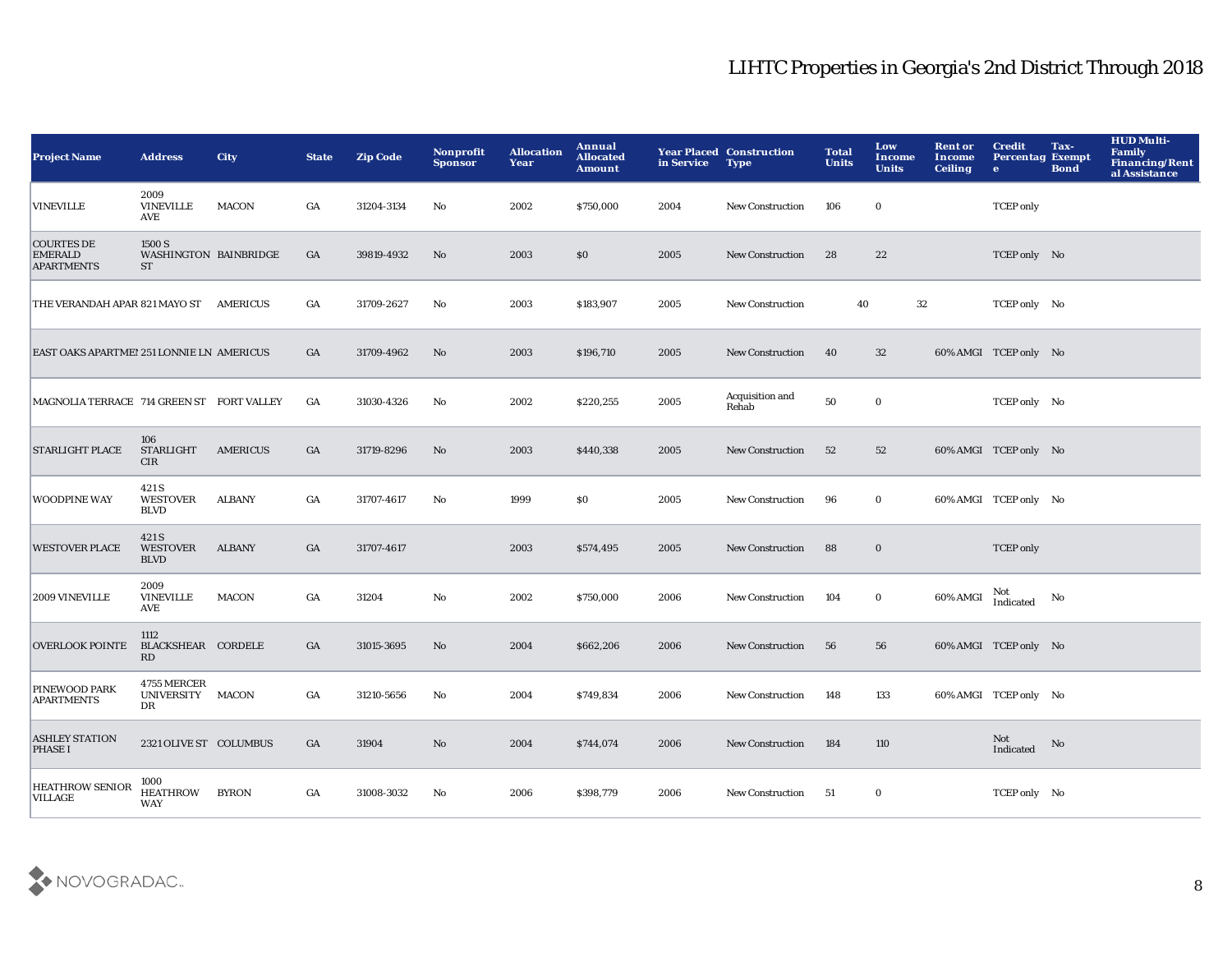| <b>Project Name</b>                                      | <b>Address</b>                          | <b>City</b>     | <b>State</b> | <b>Zip Code</b> | Nonprofit<br><b>Sponsor</b> | <b>Allocation</b><br>Year | Annual<br><b>Allocated</b><br><b>Amount</b> | in Service | <b>Year Placed Construction</b><br><b>Type</b> | <b>Total</b><br><b>Units</b> | Low<br>Income<br><b>Units</b> | <b>Rent or</b><br>Income<br><b>Ceiling</b> | <b>Credit</b><br><b>Percentag Exempt</b><br>$\bullet$ | Tax-<br><b>Bond</b> | <b>HUD Multi-</b><br><b>Family</b><br><b>Financing/Rent</b><br>al Assistance |
|----------------------------------------------------------|-----------------------------------------|-----------------|--------------|-----------------|-----------------------------|---------------------------|---------------------------------------------|------------|------------------------------------------------|------------------------------|-------------------------------|--------------------------------------------|-------------------------------------------------------|---------------------|------------------------------------------------------------------------------|
| <b>VINEVILLE</b>                                         | 2009<br><b>VINEVILLE</b><br><b>AVE</b>  | <b>MACON</b>    | GA           | 31204-3134      | No                          | 2002                      | \$750,000                                   | 2004       | <b>New Construction</b>                        | 106                          | $\mathbf 0$                   |                                            | <b>TCEP</b> only                                      |                     |                                                                              |
| <b>COURTES DE</b><br><b>EMERALD</b><br><b>APARTMENTS</b> | 1500 S<br>WASHINGTON BAINBRIDGE<br>ST   |                 | GA           | 39819-4932      | No                          | 2003                      | \$0                                         | 2005       | New Construction                               | 28                           | 22                            |                                            | TCEP only No                                          |                     |                                                                              |
| THE VERANDAH APAR 821 MAYO ST AMERICUS                   |                                         |                 | GA           | 31709-2627      | No                          | 2003                      | \$183,907                                   | 2005       | New Construction                               | 40                           | $32\,$                        |                                            | TCEP only No                                          |                     |                                                                              |
| EAST OAKS APARTMEI 251 LONNIE LN AMERICUS                |                                         |                 | GA           | 31709-4962      | No                          | 2003                      | \$196,710                                   | 2005       | <b>New Construction</b>                        | 40                           | 32                            |                                            | 60% AMGI TCEP only No                                 |                     |                                                                              |
| MAGNOLIA TERRACE 714 GREEN ST FORT VALLEY                |                                         |                 | GA           | 31030-4326      | No                          | 2002                      | \$220,255                                   | 2005       | Acquisition and<br>Rehab                       | 50                           | $\mathbf 0$                   |                                            | TCEP only No                                          |                     |                                                                              |
| <b>STARLIGHT PLACE</b>                                   | 106<br>STARLIGHT<br>CIR                 | <b>AMERICUS</b> | GA           | 31719-8296      | No                          | 2003                      | \$440,338                                   | 2005       | <b>New Construction</b>                        | 52                           | 52                            |                                            | 60% AMGI TCEP only No                                 |                     |                                                                              |
| <b>WOODPINE WAY</b>                                      | 421 S<br><b>WESTOVER</b><br><b>BLVD</b> | <b>ALBANY</b>   | GA           | 31707-4617      | No                          | 1999                      | \$0                                         | 2005       | <b>New Construction</b>                        | 96                           | $\bf{0}$                      |                                            | 60% AMGI TCEP only No                                 |                     |                                                                              |
| <b>WESTOVER PLACE</b>                                    | 421 S<br><b>WESTOVER</b><br><b>BLVD</b> | <b>ALBANY</b>   | GA           | 31707-4617      |                             | 2003                      | \$574,495                                   | 2005       | New Construction                               | 88                           | $\mathbf 0$                   |                                            | <b>TCEP</b> only                                      |                     |                                                                              |
| 2009 VINEVILLE                                           | 2009<br><b>VINEVILLE</b><br>AVE         | <b>MACON</b>    | GA           | 31204           | $\mathbf{No}$               | 2002                      | \$750,000                                   | 2006       | <b>New Construction</b>                        | 104                          | $\mathbf 0$                   | 60% AMGI                                   | Not<br>Indicated                                      | No                  |                                                                              |
| <b>OVERLOOK POINTE</b>                                   | 1112<br>BLACKSHEAR CORDELE<br>RD        |                 | GA           | 31015-3695      | No                          | 2004                      | \$662,206                                   | 2006       | New Construction                               | 56                           | 56                            |                                            | 60% AMGI TCEP only No                                 |                     |                                                                              |
| PINEWOOD PARK<br><b>APARTMENTS</b>                       | 4755 MERCER<br>UNIVERSITY MACON<br>DR   |                 | GA           | 31210-5656      | No                          | 2004                      | \$749,834                                   | 2006       | <b>New Construction</b>                        | 148                          | 133                           |                                            | 60% AMGI TCEP only No                                 |                     |                                                                              |
| <b>ASHLEY STATION</b><br><b>PHASE I</b>                  | 2321 OLIVE ST COLUMBUS                  |                 | GA           | 31904           | No                          | 2004                      | \$744,074                                   | 2006       | <b>New Construction</b>                        | 184                          | 110                           |                                            | Not<br>Indicated                                      | No                  |                                                                              |
| <b>HEATHROW SENIOR</b><br><b>VILLAGE</b>                 | 1000<br><b>HEATHROW</b><br><b>WAY</b>   | <b>BYRON</b>    | GA           | 31008-3032      | No                          | 2006                      | \$398,779                                   | 2006       | <b>New Construction</b>                        | -51                          | $\bf{0}$                      |                                            | TCEP only No                                          |                     |                                                                              |

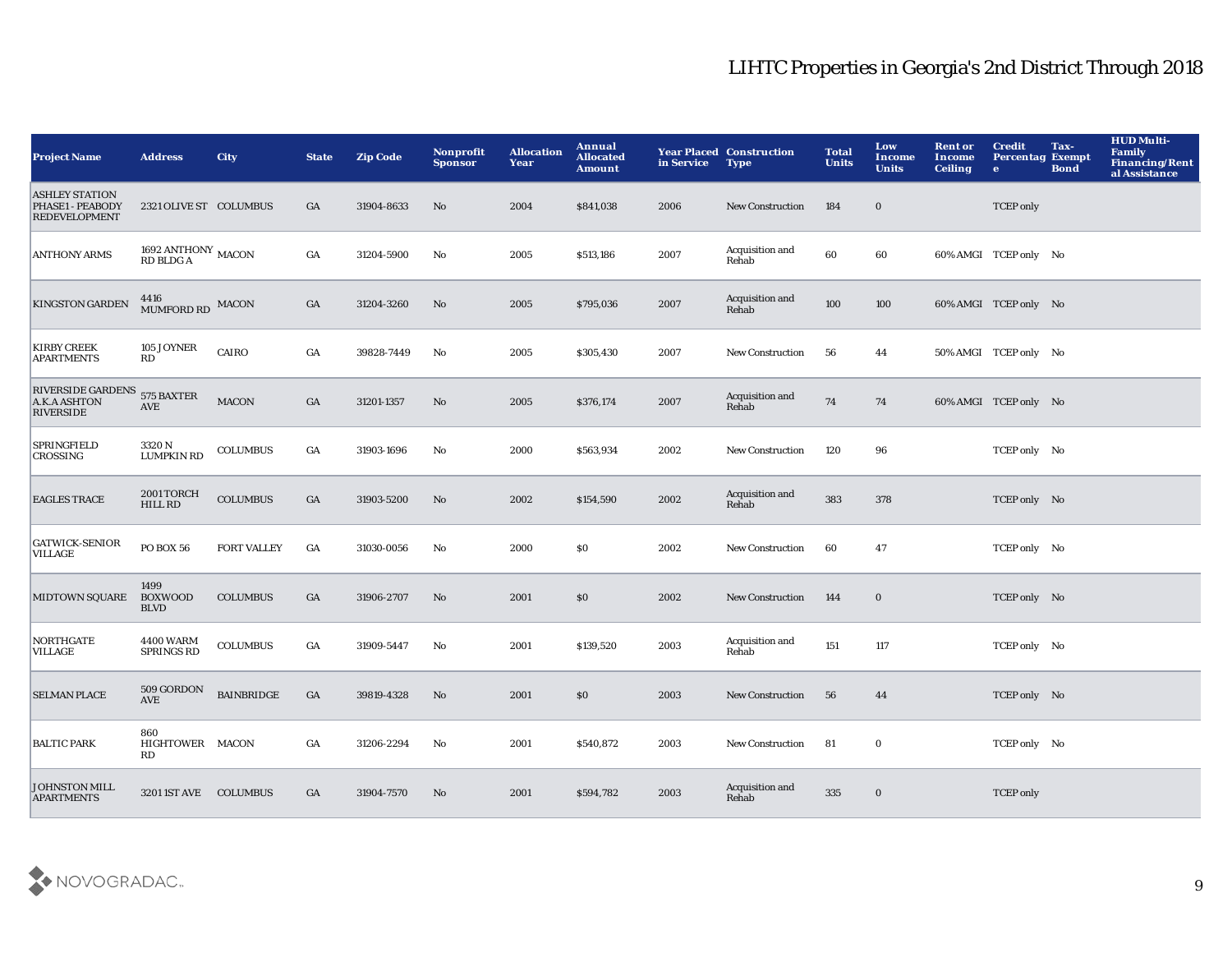| <b>Project Name</b>                                                 | <b>Address</b>                         | <b>City</b>        | <b>State</b>     | <b>Zip Code</b> | Nonprofit<br><b>Sponsor</b> | <b>Allocation</b><br>Year | Annual<br><b>Allocated</b><br><b>Amount</b> | in Service | <b>Year Placed Construction</b><br><b>Type</b> | <b>Total</b><br><b>Units</b> | Low<br>Income<br><b>Units</b> | <b>Rent or</b><br><b>Income</b><br><b>Ceiling</b> | <b>Credit</b><br><b>Percentag Exempt</b><br>$\bullet$ | Tax-<br><b>Bond</b> | <b>HUD Multi-</b><br><b>Family</b><br><b>Financing/Rent</b><br>al Assistance |
|---------------------------------------------------------------------|----------------------------------------|--------------------|------------------|-----------------|-----------------------------|---------------------------|---------------------------------------------|------------|------------------------------------------------|------------------------------|-------------------------------|---------------------------------------------------|-------------------------------------------------------|---------------------|------------------------------------------------------------------------------|
| <b>ASHLEY STATION</b><br>PHASE1 - PEABODY<br><b>REDEVELOPMENT</b>   | 2321 OLIVE ST COLUMBUS                 |                    | GA               | 31904-8633      | No                          | 2004                      | \$841,038                                   | 2006       | <b>New Construction</b>                        | 184                          | $\mathbf 0$                   |                                                   | <b>TCEP</b> only                                      |                     |                                                                              |
| <b>ANTHONY ARMS</b>                                                 | $1692$ ANTHONY $\,$ MACON RD BLDG A    |                    | GA               | 31204-5900      | No                          | 2005                      | \$513,186                                   | 2007       | Acquisition and<br>Rehab                       | 60                           | 60                            |                                                   | 60% AMGI TCEP only No                                 |                     |                                                                              |
| <b>KINGSTON GARDEN</b>                                              | 4416<br>MUMFORD RD MACON               |                    | GA               | 31204-3260      | No                          | 2005                      | \$795,036                                   | 2007       | Acquisition and<br>Rehab                       | 100                          | 100                           |                                                   | 60% AMGI TCEP only No                                 |                     |                                                                              |
| <b>KIRBY CREEK</b><br><b>APARTMENTS</b>                             | 105 JOYNER<br>RD                       | CAIRO              | GA               | 39828-7449      | No                          | 2005                      | \$305,430                                   | 2007       | <b>New Construction</b>                        | 56                           | 44                            |                                                   | 50% AMGI TCEP only No                                 |                     |                                                                              |
| <b>RIVERSIDE GARDENS</b><br><b>A.K.A ASHTON</b><br><b>RIVERSIDE</b> | $575\,$ BAXTER<br>$\operatorname{AVE}$ | <b>MACON</b>       | GA               | 31201-1357      | $\mathbf{N}\mathbf{o}$      | 2005                      | \$376,174                                   | 2007       | Acquisition and<br>Rehab                       | 74                           | 74                            |                                                   | 60% AMGI TCEP only No                                 |                     |                                                                              |
| <b>SPRINGFIELD</b><br>CROSSING                                      | 3320N<br><b>LUMPKIN RD</b>             | <b>COLUMBUS</b>    | GA               | 31903-1696      | No                          | 2000                      | \$563,934                                   | 2002       | New Construction                               | 120                          | 96                            |                                                   | TCEP only No                                          |                     |                                                                              |
| <b>EAGLES TRACE</b>                                                 | 2001 TORCH<br><b>HILL RD</b>           | <b>COLUMBUS</b>    | $_{\mathrm{GA}}$ | 31903-5200      | No                          | 2002                      | \$154,590                                   | 2002       | Acquisition and<br>Rehab                       | 383                          | 378                           |                                                   | TCEP only No                                          |                     |                                                                              |
| <b>GATWICK-SENIOR</b><br><b>VILLAGE</b>                             | PO BOX 56                              | <b>FORT VALLEY</b> | GA               | 31030-0056      | No                          | 2000                      | \$0                                         | 2002       | <b>New Construction</b>                        | 60                           | 47                            |                                                   | TCEP only No                                          |                     |                                                                              |
| <b>MIDTOWN SQUARE</b>                                               | 1499<br><b>BOXWOOD</b><br><b>BLVD</b>  | <b>COLUMBUS</b>    | GA               | 31906-2707      | No                          | 2001                      | \$0                                         | 2002       | <b>New Construction</b>                        | 144                          | $\bf{0}$                      |                                                   | TCEP only No                                          |                     |                                                                              |
| <b>NORTHGATE</b><br><b>VILLAGE</b>                                  | <b>4400 WARM</b><br><b>SPRINGS RD</b>  | <b>COLUMBUS</b>    | GA               | 31909-5447      | No                          | 2001                      | \$139,520                                   | 2003       | Acquisition and<br>Rehab                       | 151                          | 117                           |                                                   | TCEP only No                                          |                     |                                                                              |
| <b>SELMAN PLACE</b>                                                 | 509 GORDON<br>AVE                      | <b>BAINBRIDGE</b>  | GA               | 39819-4328      | No                          | 2001                      | \$0                                         | 2003       | <b>New Construction</b>                        | 56                           | 44                            |                                                   | TCEP only No                                          |                     |                                                                              |
| <b>BALTIC PARK</b>                                                  | 860<br>HIGHTOWER MACON<br>RD           |                    | GA               | 31206-2294      | No                          | 2001                      | \$540,872                                   | 2003       | New Construction                               | 81                           | $\bf{0}$                      |                                                   | TCEP only No                                          |                     |                                                                              |
| <b>JOHNSTON MILL</b><br><b>APARTMENTS</b>                           | 3201 IST AVE COLUMBUS                  |                    | GA               | 31904-7570      | No                          | 2001                      | \$594,782                                   | 2003       | Acquisition and<br>Rehab                       | 335                          | $\bf{0}$                      |                                                   | <b>TCEP</b> only                                      |                     |                                                                              |

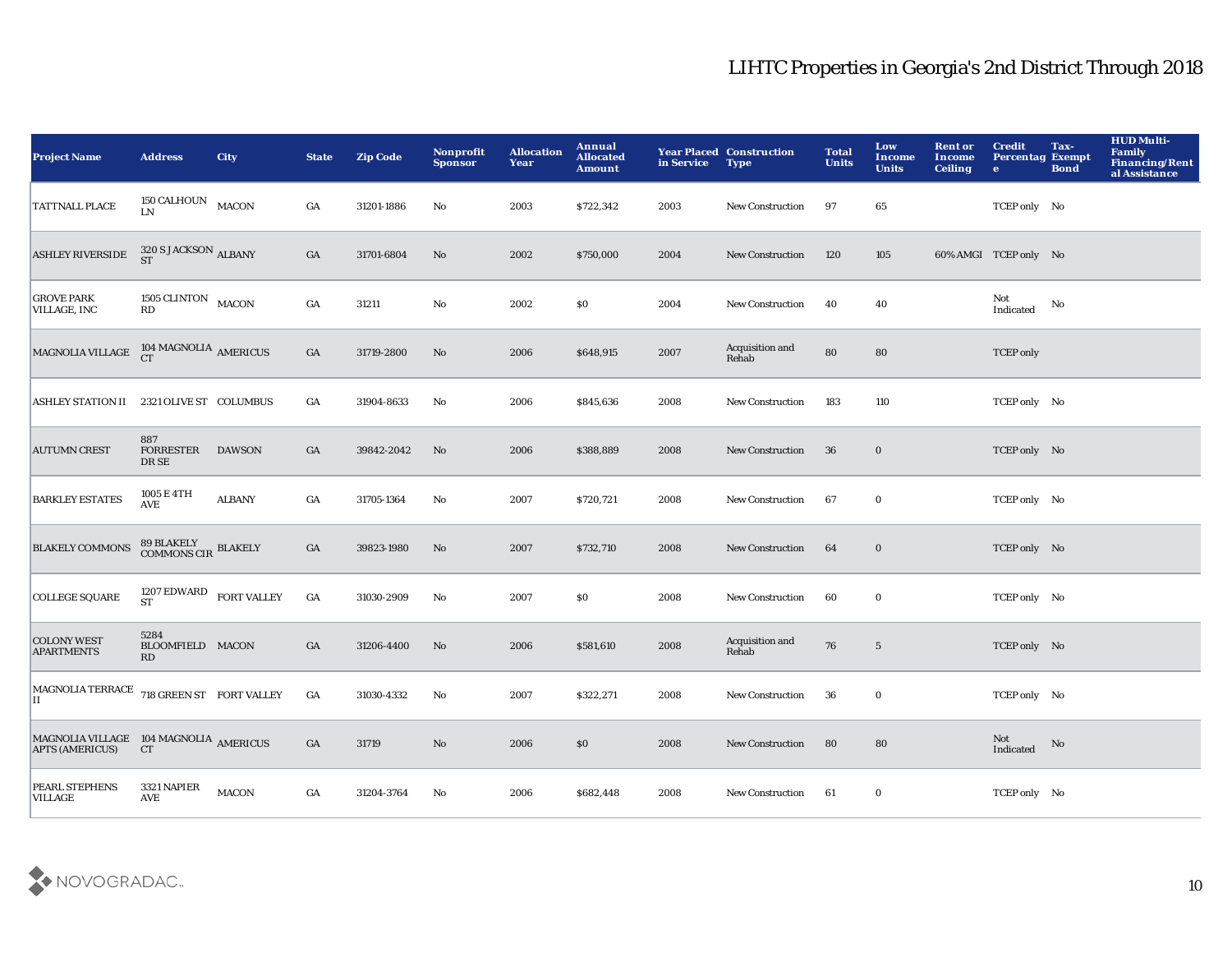| <b>Project Name</b>                                              | <b>Address</b>                                     | <b>City</b>   | <b>State</b>     | <b>Zip Code</b> | Nonprofit<br><b>Sponsor</b> | <b>Allocation</b><br>Year | Annual<br><b>Allocated</b><br><b>Amount</b> | in Service | <b>Year Placed Construction</b><br><b>Type</b> | <b>Total</b><br><b>Units</b> | Low<br>Income<br><b>Units</b> | <b>Rent or</b><br>Income<br><b>Ceiling</b> | <b>Credit</b><br><b>Percentag Exempt</b><br>$\bullet$ | Tax-<br><b>Bond</b> | <b>HUD Multi-</b><br><b>Family</b><br><b>Financing/Rent</b><br>al Assistance |
|------------------------------------------------------------------|----------------------------------------------------|---------------|------------------|-----------------|-----------------------------|---------------------------|---------------------------------------------|------------|------------------------------------------------|------------------------------|-------------------------------|--------------------------------------------|-------------------------------------------------------|---------------------|------------------------------------------------------------------------------|
| <b>TATTNALL PLACE</b>                                            | 150 CALHOUN MACON<br>LN                            |               | GA               | 31201-1886      | No                          | 2003                      | \$722,342                                   | 2003       | <b>New Construction</b>                        | 97                           | 65                            |                                            | TCEP only No                                          |                     |                                                                              |
| <b>ASHLEY RIVERSIDE</b>                                          | $320\,\mathrm{S}\,$ JACKSON $\,$ ALBANY ST         |               | $_{\mathrm{GA}}$ | 31701-6804      | $\mathbf{N}\mathbf{o}$      | 2002                      | \$750,000                                   | 2004       | <b>New Construction</b>                        | 120                          | 105                           |                                            | 60% AMGI TCEP only No                                 |                     |                                                                              |
| <b>GROVE PARK</b><br>VILLAGE, INC                                | 1505 CLINTON MACON<br>RD                           |               | GA               | 31211           | $\mathbf {No}$              | 2002                      | \$0                                         | 2004       | New Construction                               | 40                           | 40                            |                                            | Not<br>Indicated                                      | No                  |                                                                              |
| MAGNOLIA VILLAGE                                                 | $^{104\ MAGNOLIA}_{\rm CT}$ AMERICUS               |               | GA               | 31719-2800      | No                          | 2006                      | \$648,915                                   | 2007       | Acquisition and<br>Rehab                       | ${\bf 80}$                   | 80                            |                                            | <b>TCEP</b> only                                      |                     |                                                                              |
| ASHLEY STATION II 2321 OLIVE ST COLUMBUS                         |                                                    |               | GA               | 31904-8633      | No                          | 2006                      | \$845,636                                   | 2008       | New Construction                               | 183                          | 110                           |                                            | TCEP only No                                          |                     |                                                                              |
| <b>AUTUMN CREST</b>                                              | 887<br><b>FORRESTER</b><br>DR SE                   | <b>DAWSON</b> | GA               | 39842-2042      | No                          | 2006                      | \$388,889                                   | 2008       | <b>New Construction</b>                        | 36                           | $\bf{0}$                      |                                            | TCEP only No                                          |                     |                                                                              |
| <b>BARKLEY ESTATES</b>                                           | 1005 E 4TH<br><b>AVE</b>                           | <b>ALBANY</b> | GA               | 31705-1364      | No                          | 2007                      | \$720,721                                   | 2008       | New Construction                               | 67                           | $\bf{0}$                      |                                            | TCEP only No                                          |                     |                                                                              |
| <b>BLAKELY COMMONS</b>                                           | 89 BLAKELY<br>COMMONS CIR BLAKELY                  |               | GA               | 39823-1980      | No                          | 2007                      | \$732,710                                   | 2008       | New Construction                               | 64                           | $\mathbf 0$                   |                                            | TCEP only No                                          |                     |                                                                              |
| <b>COLLEGE SQUARE</b>                                            | 1207 $\rm{EDWARD}$ $\rm{FORT}$ VALLEY<br><b>ST</b> |               | $_{\mathrm{GA}}$ | 31030-2909      | No                          | 2007                      | \$0                                         | 2008       | New Construction                               | 60                           | $\mathbf 0$                   |                                            | TCEP only No                                          |                     |                                                                              |
| <b>COLONY WEST</b><br><b>APARTMENTS</b>                          | 5284<br>BLOOMFIELD MACON<br>RD                     |               | $_{\mathrm{GA}}$ | 31206-4400      | $\mathbf{N}\mathbf{o}$      | 2006                      | \$581,610                                   | 2008       | Acquisition and<br>Rehab                       | 76                           | $5\,$                         |                                            | TCEP only No                                          |                     |                                                                              |
| MAGNOLIA TERRACE 718 GREEN ST FORT VALLEY<br>II                  |                                                    |               | GA               | 31030-4332      | No                          | 2007                      | \$322,271                                   | 2008       | <b>New Construction</b>                        | 36                           | $\bf{0}$                      |                                            | TCEP only No                                          |                     |                                                                              |
| MAGNOLIA VILLAGE 104 MAGNOLIA AMERICUS<br><b>APTS (AMERICUS)</b> | CT                                                 |               | GA               | 31719           | No                          | 2006                      | \$0                                         | 2008       | <b>New Construction</b>                        | 80                           | 80                            |                                            | Not<br>Indicated                                      | No                  |                                                                              |
| PEARL STEPHENS<br><b>VILLAGE</b>                                 | 3321 NAPIER<br>AVE                                 | <b>MACON</b>  | GA               | 31204-3764      | No                          | 2006                      | \$682,448                                   | 2008       | <b>New Construction</b>                        | 61                           | $\bf{0}$                      |                                            | TCEP only No                                          |                     |                                                                              |

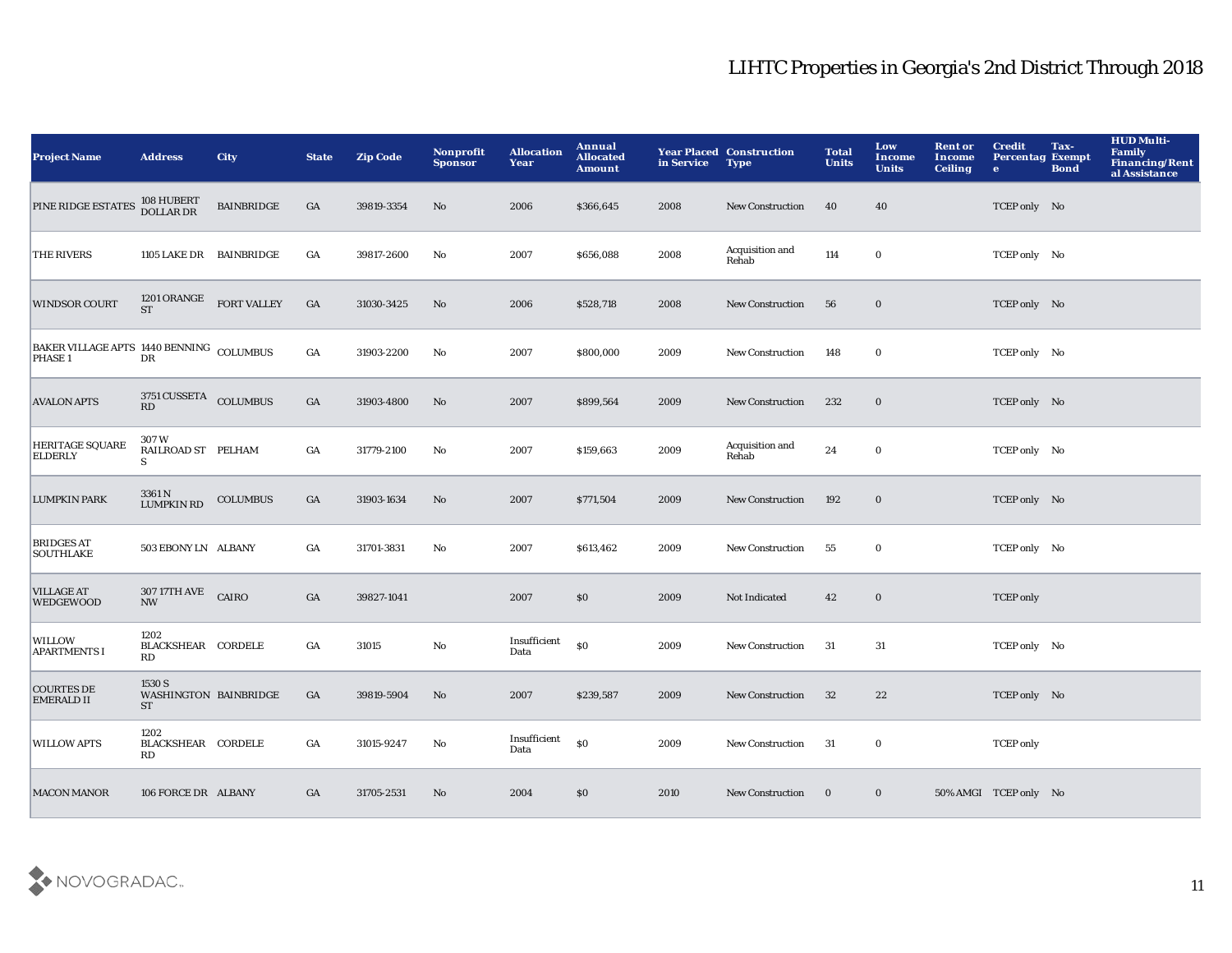| <b>Project Name</b>                                            | <b>Address</b>                                     | <b>City</b>        | <b>State</b>     | <b>Zip Code</b> | Nonprofit<br><b>Sponsor</b> | <b>Allocation</b><br>Year | Annual<br><b>Allocated</b><br><b>Amount</b> | in Service | <b>Year Placed Construction</b><br><b>Type</b> | <b>Total</b><br><b>Units</b> | Low<br>Income<br><b>Units</b> | <b>Rent or</b><br>Income<br><b>Ceiling</b> | <b>Credit</b><br><b>Percentag Exempt</b><br>$\bullet$ | Tax-<br><b>Bond</b> | <b>HUD Multi-</b><br><b>Family</b><br>Financing/Rent<br>al Assistance |
|----------------------------------------------------------------|----------------------------------------------------|--------------------|------------------|-----------------|-----------------------------|---------------------------|---------------------------------------------|------------|------------------------------------------------|------------------------------|-------------------------------|--------------------------------------------|-------------------------------------------------------|---------------------|-----------------------------------------------------------------------|
| PINE RIDGE ESTATES                                             | 108 HUBERT<br>DOLLAR DR                            | <b>BAINBRIDGE</b>  | GA               | 39819-3354      | No                          | 2006                      | \$366,645                                   | 2008       | <b>New Construction</b>                        | 40                           | 40                            |                                            | TCEP only No                                          |                     |                                                                       |
| <b>THE RIVERS</b>                                              | 1105 LAKE DR BAINBRIDGE                            |                    | $_{\mathrm{GA}}$ | 39817-2600      | No                          | 2007                      | \$656,088                                   | 2008       | Acquisition and<br>Rehab                       | 114                          | $\bf{0}$                      |                                            | TCEP only No                                          |                     |                                                                       |
| <b>WINDSOR COURT</b>                                           | 1201 ORANGE<br>ST                                  | <b>FORT VALLEY</b> | GA               | 31030-3425      | No                          | 2006                      | \$528,718                                   | 2008       | <b>New Construction</b>                        | 56                           | $\mathbf 0$                   |                                            | TCEP only No                                          |                     |                                                                       |
| BAKER VILLAGE APTS 1440 BENNING COLUMBUS<br>PHASE <sub>1</sub> | DR                                                 |                    | $_{\mathrm{GA}}$ | 31903-2200      | No                          | 2007                      | \$800,000                                   | 2009       | <b>New Construction</b>                        | 148                          | $\bf{0}$                      |                                            | TCEP only No                                          |                     |                                                                       |
| <b>AVALON APTS</b>                                             | $3751\,\mbox{CUSSETA} \quad \mbox{COLUMBUS} \quad$ |                    | GA               | 31903-4800      | No                          | 2007                      | \$899,564                                   | 2009       | <b>New Construction</b>                        | 232                          | $\bf{0}$                      |                                            | TCEP only No                                          |                     |                                                                       |
| <b>HERITAGE SQUARE</b><br><b>ELDERLY</b>                       | 307 W<br>RAILROAD ST PELHAM<br>S                   |                    | GA               | 31779-2100      | No                          | 2007                      | \$159,663                                   | 2009       | Acquisition and<br>Rehab                       | 24                           | $\bf{0}$                      |                                            | TCEP only No                                          |                     |                                                                       |
| <b>LUMPKIN PARK</b>                                            | 3361 N<br><b>LUMPKIN RD</b>                        | <b>COLUMBUS</b>    | $_{\mathrm{GA}}$ | 31903-1634      | No                          | 2007                      | \$771,504                                   | 2009       | <b>New Construction</b>                        | 192                          | $\mathbf 0$                   |                                            | TCEP only No                                          |                     |                                                                       |
| <b>BRIDGES AT</b><br><b>SOUTHLAKE</b>                          | 503 EBONY LN ALBANY                                |                    | GA               | 31701-3831      | No                          | 2007                      | \$613,462                                   | 2009       | <b>New Construction</b>                        | 55                           | $\bf{0}$                      |                                            | TCEP only No                                          |                     |                                                                       |
| <b>VILLAGE AT</b><br>WEDGEWOOD                                 | 307 17TH AVE<br><b>NW</b>                          | CAIRO              | GA               | 39827-1041      |                             | 2007                      | \$0                                         | 2009       | Not Indicated                                  | 42                           | $\bf{0}$                      |                                            | <b>TCEP</b> only                                      |                     |                                                                       |
| <b>WILLOW</b><br><b>APARTMENTS I</b>                           | 1202<br>BLACKSHEAR CORDELE<br>RD                   |                    | GA               | 31015           | No                          | Insufficient<br>Data      | \$0                                         | 2009       | <b>New Construction</b>                        | 31                           | 31                            |                                            | TCEP only No                                          |                     |                                                                       |
| <b>COURTES DE</b><br><b>EMERALD II</b>                         | 1530 S<br>WASHINGTON BAINBRIDGE<br>ST              |                    | GA               | 39819-5904      | No                          | 2007                      | \$239,587                                   | 2009       | <b>New Construction</b>                        | 32                           | 22                            |                                            | TCEP only No                                          |                     |                                                                       |
| <b>WILLOW APTS</b>                                             | 1202<br>BLACKSHEAR CORDELE<br>RD                   |                    | $_{\mathrm{GA}}$ | 31015-9247      | No                          | Insufficient<br>Data      | \$0                                         | 2009       | New Construction                               | 31                           | $\bf{0}$                      |                                            | <b>TCEP</b> only                                      |                     |                                                                       |
| <b>MACON MANOR</b>                                             | 106 FORCE DR ALBANY                                |                    | GA               | 31705-2531      | No                          | 2004                      | \$0                                         | 2010       | <b>New Construction</b>                        | $\mathbf{0}$                 | $\bf{0}$                      |                                            | 50% AMGI TCEP only No                                 |                     |                                                                       |

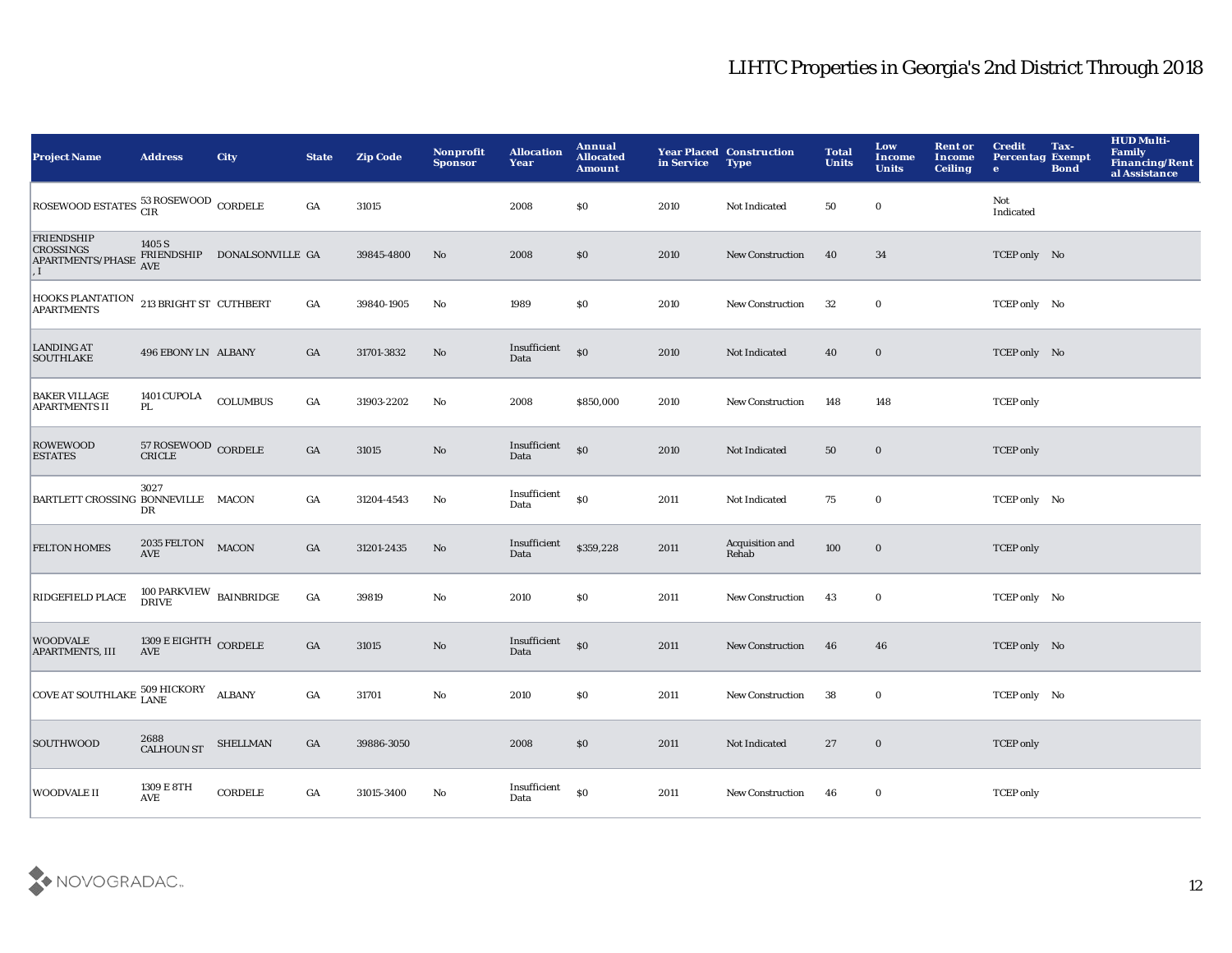| <b>Project Name</b>                                                      | <b>Address</b>                                | <b>City</b>                 | <b>State</b>     | <b>Zip Code</b> | Nonprofit<br><b>Sponsor</b> | <b>Allocation</b><br>Year | Annual<br><b>Allocated</b><br><b>Amount</b> | in Service | <b>Year Placed Construction</b><br><b>Type</b> | <b>Total</b><br><b>Units</b> | Low<br>Income<br><b>Units</b> | <b>Rent or</b><br>Income<br><b>Ceiling</b> | <b>Credit</b><br><b>Percentag Exempt</b><br>$\bullet$ | Tax-<br><b>Bond</b> | <b>HUD Multi-</b><br><b>Family</b><br>Financing/Rent<br>al Assistance |
|--------------------------------------------------------------------------|-----------------------------------------------|-----------------------------|------------------|-----------------|-----------------------------|---------------------------|---------------------------------------------|------------|------------------------------------------------|------------------------------|-------------------------------|--------------------------------------------|-------------------------------------------------------|---------------------|-----------------------------------------------------------------------|
| ROSEWOOD ESTATES <sup>53</sup> ROSEWOOD CORDELE                          |                                               |                             | GA               | 31015           |                             | 2008                      | $\$0$                                       | 2010       | Not Indicated                                  | 50                           | $\mathbf 0$                   |                                            | Not<br>Indicated                                      |                     |                                                                       |
| <b>FRIENDSHIP</b><br><b>CROSSINGS</b><br>APARTMENTS/PHASE<br>$\vert$ , I | 1405 S<br><b>AVE</b>                          | FRIENDSHIP DONALSONVILLE GA |                  | 39845-4800      | No                          | 2008                      | \$0                                         | 2010       | <b>New Construction</b>                        | 40                           | 34                            |                                            | TCEP only No                                          |                     |                                                                       |
| HOOKS PLANTATION 213 BRIGHT ST CUTHBERT APARTMENTS                       |                                               |                             | GA               | 39840-1905      | No                          | 1989                      | \$0                                         | 2010       | <b>New Construction</b>                        | 32                           | $\bf{0}$                      |                                            | TCEP only No                                          |                     |                                                                       |
| <b>LANDING AT</b><br><b>SOUTHLAKE</b>                                    | 496 EBONY LN ALBANY                           |                             | GA               | 31701-3832      | $\mathbf{N}\mathbf{o}$      | Insufficient<br>Data      | \$0                                         | 2010       | Not Indicated                                  | 40                           | $\bf{0}$                      |                                            | TCEP only No                                          |                     |                                                                       |
| <b>BAKER VILLAGE</b><br><b>APARTMENTS II</b>                             | 1401 CUPOLA<br>PL.                            | <b>COLUMBUS</b>             | $_{\mathrm{GA}}$ | 31903-2202      | No                          | 2008                      | \$850,000                                   | 2010       | <b>New Construction</b>                        | 148                          | 148                           |                                            | <b>TCEP</b> only                                      |                     |                                                                       |
| <b>ROWEWOOD</b><br><b>ESTATES</b>                                        | $57$ ROSEWOOD $\,$ CORDELE CRICLE             |                             | GA               | 31015           | $\mathbf{N}\mathbf{o}$      | Insufficient<br>Data      | \$0                                         | 2010       | Not Indicated                                  | 50                           | $\bf{0}$                      |                                            | <b>TCEP</b> only                                      |                     |                                                                       |
| BARTLETT CROSSING BONNEVILLE MACON                                       | 3027<br>DR                                    |                             | GA               | 31204-4543      | No                          | Insufficient<br>Data      | \$0                                         | 2011       | Not Indicated                                  | 75                           | $\bf{0}$                      |                                            | TCEP only No                                          |                     |                                                                       |
| <b>FELTON HOMES</b>                                                      | 2035 FELTON<br>$\operatorname{AVE}$           | <b>MACON</b>                | GA               | 31201-2435      | No                          | Insufficient<br>Data      | \$359,228                                   | 2011       | Acquisition and<br>Rehab                       | 100                          | $\mathbf 0$                   |                                            | <b>TCEP</b> only                                      |                     |                                                                       |
| RIDGEFIELD PLACE                                                         | $100$ PARKVIEW BAINBRIDGE DRIVE               |                             | $_{\mathrm{GA}}$ | 39819           | No                          | 2010                      | $\$0$                                       | 2011       | New Construction                               | 43                           | $\mathbf 0$                   |                                            | TCEP only No                                          |                     |                                                                       |
| <b>WOODVALE</b><br>APARTMENTS, III                                       | 1309 E EIGHTH CORDELE<br>$\operatorname{AVE}$ |                             | GA               | 31015           | $\mathbf{N}\mathbf{o}$      | Insufficient<br>Data      | $\mathbf{S}$                                | 2011       | <b>New Construction</b>                        | 46                           | 46                            |                                            | TCEP only No                                          |                     |                                                                       |
| COVE AT SOUTHLAKE 509 HICKORY ALBANY                                     |                                               |                             | GA               | 31701           | $\mathbf {No}$              | 2010                      | $\$0$                                       | 2011       | <b>New Construction</b>                        | 38                           | $\mathbf 0$                   |                                            | TCEP only No                                          |                     |                                                                       |
| SOUTHWOOD                                                                | 2688<br>CALHOUN ST                            | <b>SHELLMAN</b>             | GA               | 39886-3050      |                             | 2008                      | \$0                                         | 2011       | Not Indicated                                  | 27                           | $\bf{0}$                      |                                            | <b>TCEP</b> only                                      |                     |                                                                       |
| <b>WOODVALE II</b>                                                       | 1309 E 8TH<br><b>AVE</b>                      | CORDELE                     | GA               | 31015-3400      | No                          | Insufficient<br>Data      | \$0                                         | 2011       | <b>New Construction</b>                        | 46                           | $\bf{0}$                      |                                            | <b>TCEP</b> only                                      |                     |                                                                       |

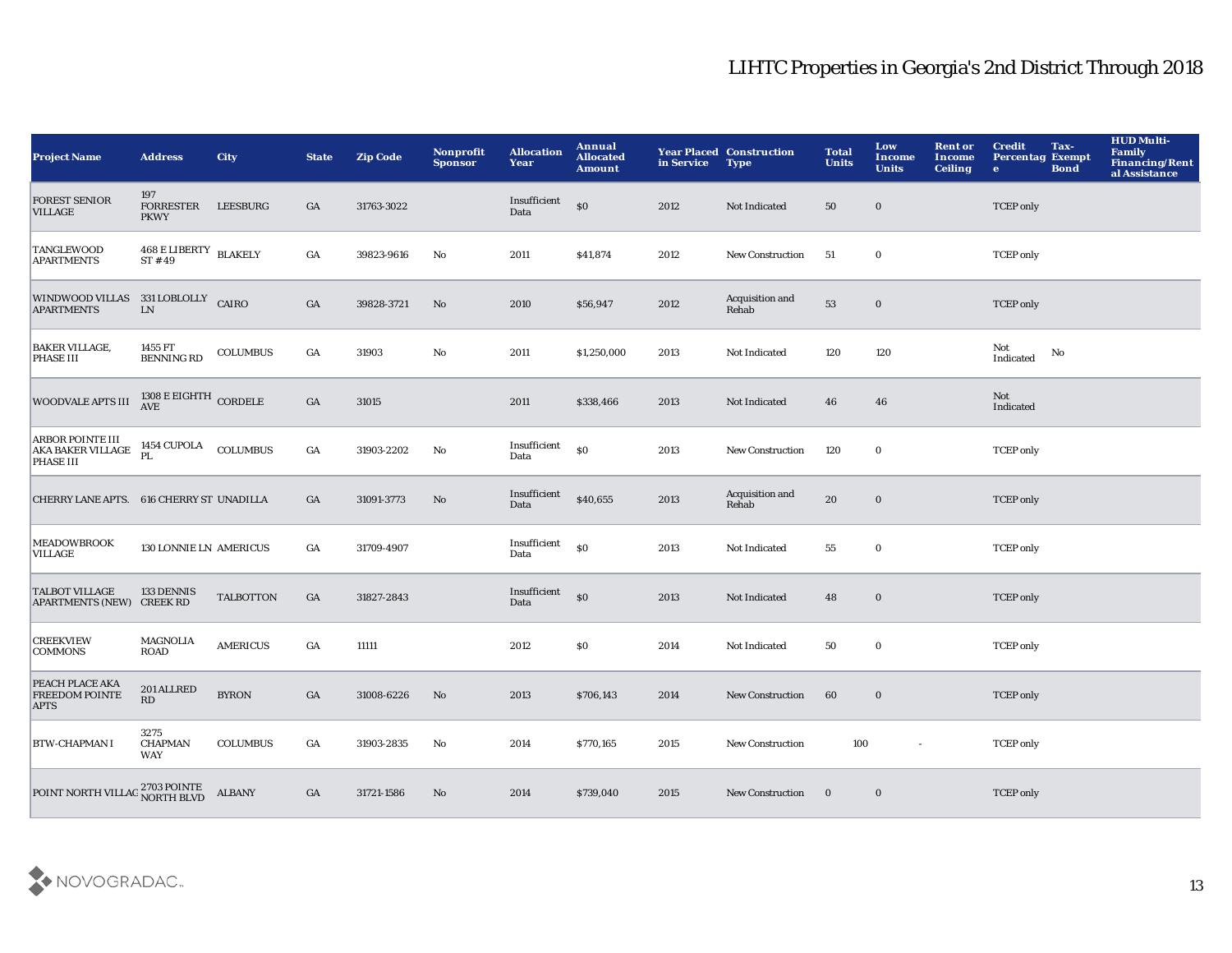| <b>Project Name</b>                                     | <b>Address</b>                            | <b>City</b>      | <b>State</b>     | <b>Zip Code</b> | <b>Nonprofit</b><br><b>Sponsor</b> | <b>Allocation</b><br>Year | Annual<br><b>Allocated</b><br><b>Amount</b>      | in Service | <b>Year Placed Construction</b><br><b>Type</b> | <b>Total</b><br><b>Units</b> | Low<br>Income<br><b>Units</b> | <b>Rent or</b><br>Income<br><b>Ceiling</b> | <b>Credit</b><br><b>Percentag Exempt</b><br>$\bullet$ | Tax-<br><b>Bond</b> | <b>HUD Multi-</b><br><b>Family</b><br>Financing/Rent<br>al Assistance |
|---------------------------------------------------------|-------------------------------------------|------------------|------------------|-----------------|------------------------------------|---------------------------|--------------------------------------------------|------------|------------------------------------------------|------------------------------|-------------------------------|--------------------------------------------|-------------------------------------------------------|---------------------|-----------------------------------------------------------------------|
| <b>FOREST SENIOR</b><br><b>VILLAGE</b>                  | 197<br><b>FORRESTER</b><br><b>PKWY</b>    | <b>LEESBURG</b>  | GA               | 31763-3022      |                                    | Insufficient<br>Data      | $\$0$                                            | 2012       | Not Indicated                                  | 50                           | $\bf{0}$                      |                                            | <b>TCEP</b> only                                      |                     |                                                                       |
| TANGLEWOOD<br><b>APARTMENTS</b>                         | $468\,$ E LIBERTY $\,$ BLAKELY<br>$ST*49$ |                  | $_{\mathrm{GA}}$ | 39823-9616      | No                                 | 2011                      | \$41,874                                         | 2012       | New Construction                               | 51                           | $\bf{0}$                      |                                            | <b>TCEP</b> only                                      |                     |                                                                       |
| WINDWOOD VILLAS 331 LOBLOLLY CAIRO<br><b>APARTMENTS</b> | ${\rm LN}$                                |                  | GA               | 39828-3721      | No                                 | 2010                      | \$56,947                                         | 2012       | Acquisition and<br>Rehab                       | ${\bf 53}$                   | $\mathbf 0$                   |                                            | <b>TCEP</b> only                                      |                     |                                                                       |
| <b>BAKER VILLAGE,</b><br><b>PHASE III</b>               | 1455 FT<br><b>BENNING RD</b>              | <b>COLUMBUS</b>  | GA               | 31903           | No                                 | 2011                      | \$1,250,000                                      | 2013       | Not Indicated                                  | 120                          | 120                           |                                            | Not<br>Indicated                                      | No                  |                                                                       |
| <b>WOODVALE APTS III</b>                                | $1308\to \mathrm{EIGHTH}$ CORDELE AVE     |                  | GA               | 31015           |                                    | 2011                      | \$338,466                                        | 2013       | Not Indicated                                  | 46                           | 46                            |                                            | Not<br>Indicated                                      |                     |                                                                       |
| ARBOR POINTE III<br>AKA BAKER VILLAGE<br>PHASE III      | $1454$ CUPOLA<br>PL                       | COLUMBUS         | $_{\mathrm{GA}}$ | 31903-2202      | No                                 | Insufficient<br>Data      | \$0                                              | 2013       | New Construction                               | 120                          | $\bf{0}$                      |                                            | <b>TCEP</b> only                                      |                     |                                                                       |
| CHERRY LANE APTS. 616 CHERRY ST UNADILLA                |                                           |                  | GA               | 31091-3773      | No                                 | Insufficient<br>Data      | \$40,655                                         | 2013       | Acquisition and<br>Rehab                       | 20                           | $\mathbf 0$                   |                                            | <b>TCEP</b> only                                      |                     |                                                                       |
| <b>MEADOWBROOK</b><br><b>VILLAGE</b>                    | 130 LONNIE LN AMERICUS                    |                  | GA               | 31709-4907      |                                    | Insufficient<br>Data      | \$0                                              | 2013       | Not Indicated                                  | 55                           | $\bf{0}$                      |                                            | <b>TCEP</b> only                                      |                     |                                                                       |
| <b>TALBOT VILLAGE</b><br>APARTMENTS (NEW) CREEK RD      | 133 DENNIS                                | <b>TALBOTTON</b> | GA               | 31827-2843      |                                    | Insufficient<br>Data      | $\boldsymbol{\mathsf{S}}\boldsymbol{\mathsf{O}}$ | 2013       | Not Indicated                                  | 48                           | $\bf{0}$                      |                                            | <b>TCEP</b> only                                      |                     |                                                                       |
| <b>CREEKVIEW</b><br><b>COMMONS</b>                      | MAGNOLIA<br><b>ROAD</b>                   | <b>AMERICUS</b>  | $_{\mathrm{GA}}$ | 11111           |                                    | 2012                      | \$0                                              | 2014       | Not Indicated                                  | 50                           | $\bf{0}$                      |                                            | <b>TCEP</b> only                                      |                     |                                                                       |
| PEACH PLACE AKA<br><b>FREEDOM POINTE</b><br><b>APTS</b> | 201 ALLRED<br>$\mathbf{R}\mathbf{D}$      | <b>BYRON</b>     | GA               | 31008-6226      | No                                 | 2013                      | \$706,143                                        | 2014       | <b>New Construction</b>                        | 60                           | $\bf{0}$                      |                                            | <b>TCEP</b> only                                      |                     |                                                                       |
| <b>BTW-CHAPMAN I</b>                                    | 3275<br><b>CHAPMAN</b><br><b>WAY</b>      | <b>COLUMBUS</b>  | $_{\mathrm{GA}}$ | 31903-2835      | No                                 | 2014                      | \$770,165                                        | 2015       | <b>New Construction</b>                        | 100                          | $\sim$                        |                                            | <b>TCEP</b> only                                      |                     |                                                                       |
| POINT NORTH VILLAG <sup>2703</sup> POINTE               |                                           | <b>ALBANY</b>    | GA               | 31721-1586      | No                                 | 2014                      | \$739,040                                        | 2015       | <b>New Construction</b>                        | $\bf{0}$                     | $\bf{0}$                      |                                            | <b>TCEP</b> only                                      |                     |                                                                       |

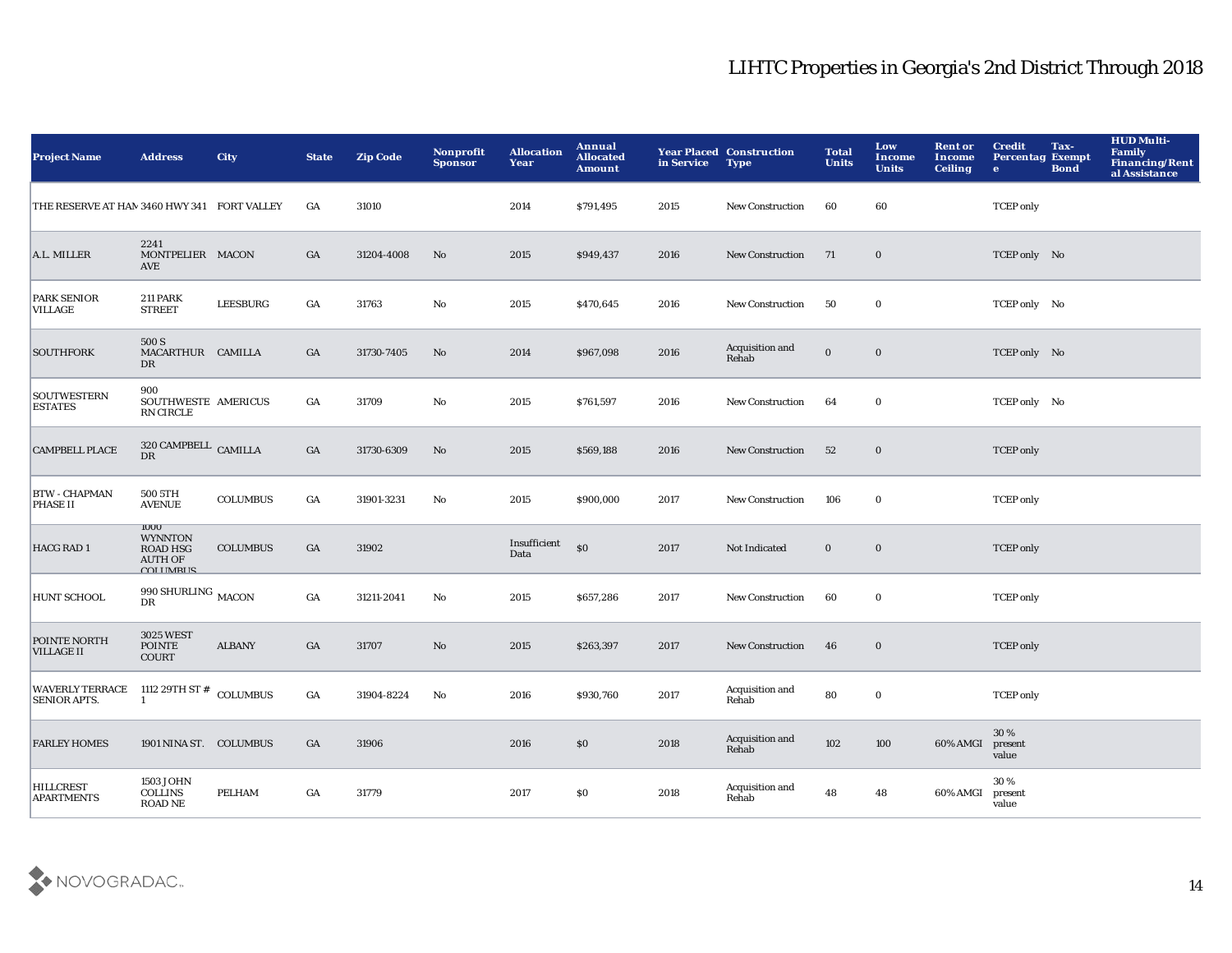| <b>Project Name</b>                                            | <b>Address</b>                                                                 | <b>City</b>     | <b>State</b>     | <b>Zip Code</b> | <b>Nonprofit</b><br><b>Sponsor</b> | <b>Allocation</b><br>Year | Annual<br><b>Allocated</b><br><b>Amount</b>      | in Service | <b>Year Placed Construction</b><br><b>Type</b> | <b>Total</b><br><b>Units</b> | Low<br><b>Income</b><br><b>Units</b> | <b>Rent or</b><br>Income<br><b>Ceiling</b> | <b>Credit</b><br><b>Percentag Exempt</b><br>$\bullet$ | Tax-<br><b>Bond</b> | <b>HUD Multi-</b><br><b>Family</b><br>Financing/Rent<br>al Assistance |
|----------------------------------------------------------------|--------------------------------------------------------------------------------|-----------------|------------------|-----------------|------------------------------------|---------------------------|--------------------------------------------------|------------|------------------------------------------------|------------------------------|--------------------------------------|--------------------------------------------|-------------------------------------------------------|---------------------|-----------------------------------------------------------------------|
| THE RESERVE AT HAM 3460 HWY 341 FORT VALLEY                    |                                                                                |                 | GA               | 31010           |                                    | 2014                      | \$791,495                                        | 2015       | <b>New Construction</b>                        | 60                           | 60                                   |                                            | <b>TCEP</b> only                                      |                     |                                                                       |
| A.L. MILLER                                                    | 2241<br>MONTPELIER MACON<br><b>AVE</b>                                         |                 | GA               | 31204-4008      | No                                 | 2015                      | \$949,437                                        | 2016       | New Construction                               | 71                           | $\bf{0}$                             |                                            | TCEP only No                                          |                     |                                                                       |
| <b>PARK SENIOR</b><br>VILLAGE                                  | <b>211 PARK</b><br><b>STREET</b>                                               | <b>LEESBURG</b> | $_{\mathrm{GA}}$ | 31763           | $\mathbf {No}$                     | 2015                      | \$470,645                                        | 2016       | New Construction                               | 50                           | $\bf{0}$                             |                                            | TCEP only No                                          |                     |                                                                       |
| <b>SOUTHFORK</b>                                               | 500 S<br>MACARTHUR CAMILLA<br>DR                                               |                 | GA               | 31730-7405      | No                                 | 2014                      | \$967,098                                        | 2016       | Acquisition and<br>Rehab                       | $\mathbf 0$                  | $\mathbf 0$                          |                                            | TCEP only No                                          |                     |                                                                       |
| <b>SOUTWESTERN</b><br><b>ESTATES</b>                           | 900<br>SOUTHWESTE AMERICUS<br><b>RN CIRCLE</b>                                 |                 | $_{\mathrm{GA}}$ | 31709           | No                                 | 2015                      | \$761,597                                        | 2016       | New Construction                               | 64                           | $\bf{0}$                             |                                            | TCEP only No                                          |                     |                                                                       |
| <b>CAMPBELL PLACE</b>                                          | 320 CAMPBELL CAMILLA<br>$_{\rm DR}$                                            |                 | GA               | 31730-6309      | No                                 | 2015                      | \$569,188                                        | 2016       | <b>New Construction</b>                        | 52                           | $\bf{0}$                             |                                            | <b>TCEP</b> only                                      |                     |                                                                       |
| <b>BTW - CHAPMAN</b><br><b>PHASE II</b>                        | 500 5TH<br><b>AVENUE</b>                                                       | <b>COLUMBUS</b> | $_{\mathrm{GA}}$ | 31901-3231      | No                                 | 2015                      | \$900,000                                        | 2017       | New Construction                               | 106                          | $\bf{0}$                             |                                            | <b>TCEP</b> only                                      |                     |                                                                       |
| HACG RAD 1                                                     | 1000<br><b>WYNNTON</b><br><b>ROAD HSG</b><br><b>AUTH OF</b><br><b>COLUMBUS</b> | <b>COLUMBUS</b> | GA               | 31902           |                                    | Insufficient<br>Data      | $\boldsymbol{\mathsf{S}}\boldsymbol{\mathsf{O}}$ | 2017       | Not Indicated                                  | $\mathbf 0$                  | $\bf{0}$                             |                                            | <b>TCEP</b> only                                      |                     |                                                                       |
| <b>HUNT SCHOOL</b>                                             | 990 SHURLING MACON<br>DR                                                       |                 | GA               | 31211-2041      | No                                 | 2015                      | \$657,286                                        | 2017       | New Construction                               | 60                           | $\bf{0}$                             |                                            | <b>TCEP</b> only                                      |                     |                                                                       |
| POINTE NORTH<br><b>VILLAGE II</b>                              | <b>3025 WEST</b><br>POINTE<br><b>COURT</b>                                     | <b>ALBANY</b>   | GA               | 31707           | $\rm\thinspace No$                 | 2015                      | \$263,397                                        | 2017       | <b>New Construction</b>                        | 46                           | $\bf{0}$                             |                                            | <b>TCEP</b> only                                      |                     |                                                                       |
| WAVERLY TERRACE 1112 29TH ST # COLUMBUS<br><b>SENIOR APTS.</b> | $\overline{1}$                                                                 |                 | $_{\mathrm{GA}}$ | 31904-8224      | No                                 | 2016                      | \$930,760                                        | 2017       | Acquisition and<br>Rehab                       | 80                           | $\bf{0}$                             |                                            | <b>TCEP</b> only                                      |                     |                                                                       |
| <b>FARLEY HOMES</b>                                            | 1901 NINA ST. COLUMBUS                                                         |                 | GA               | 31906           |                                    | 2016                      | \$0                                              | 2018       | Acquisition and<br>Rehab                       | 102                          | 100                                  | 60% AMGI                                   | 30%<br>present<br>value                               |                     |                                                                       |
| <b>HILLCREST</b><br><b>APARTMENTS</b>                          | 1503 JOHN<br><b>COLLINS</b><br>ROAD NE                                         | PELHAM          | GA               | 31779           |                                    | 2017                      | <b>SO</b>                                        | 2018       | Acquisition and<br>Rehab                       | 48                           | 48                                   | 60% AMGI                                   | 30%<br>present<br>value                               |                     |                                                                       |